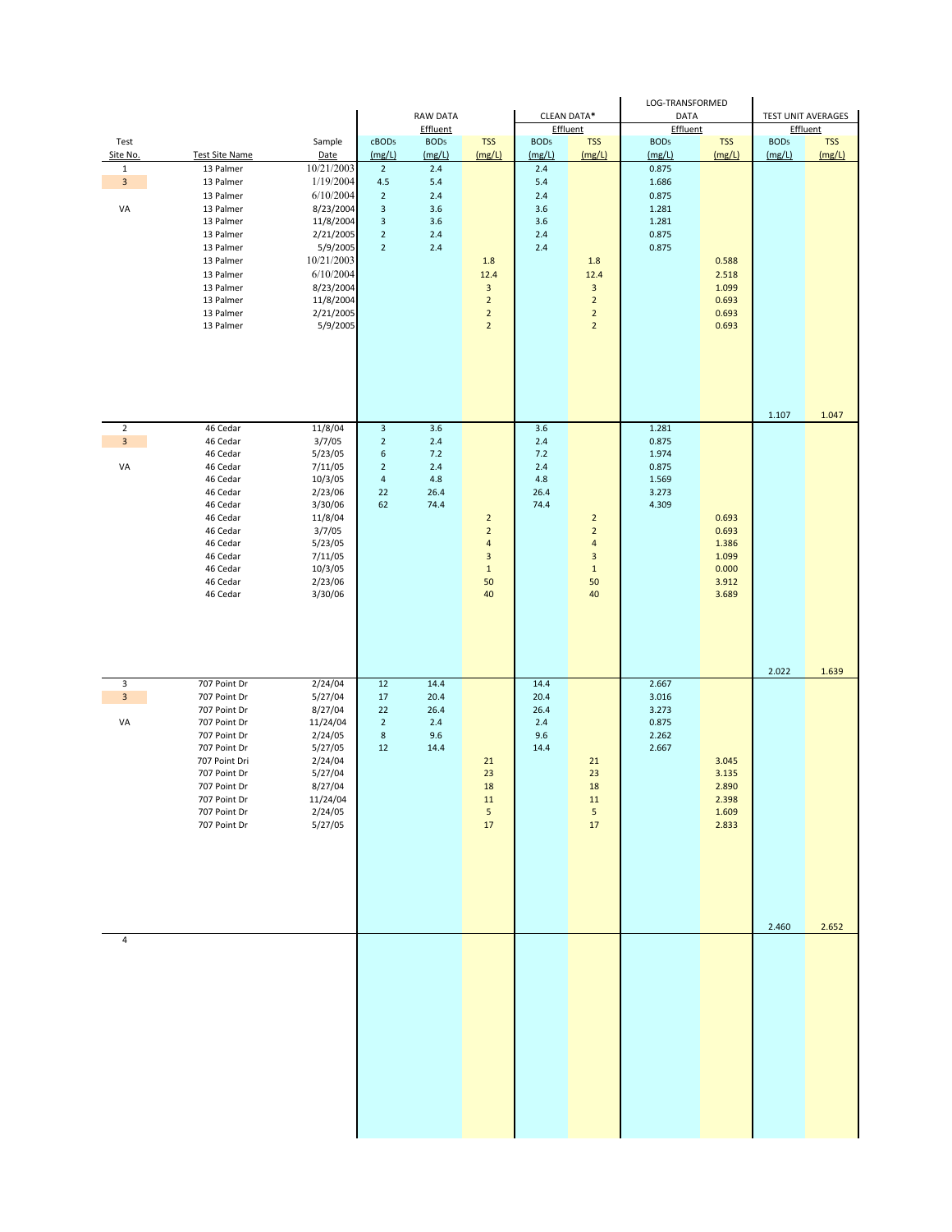|                                |                                    |                         |                                             |                             |                                  |                            |                                  | LOG-TRANSFORMED         |                |                  |                                       |
|--------------------------------|------------------------------------|-------------------------|---------------------------------------------|-----------------------------|----------------------------------|----------------------------|----------------------------------|-------------------------|----------------|------------------|---------------------------------------|
|                                |                                    |                         |                                             | <b>RAW DATA</b><br>Effluent |                                  |                            | CLEAN DATA*<br>Effluent          | <b>DATA</b><br>Effluent |                |                  | <b>TEST UNIT AVERAGES</b><br>Effluent |
| Test                           |                                    | Sample                  | cBOD <sub>5</sub>                           | BOD <sub>5</sub>            | <b>TSS</b>                       | BOD <sub>5</sub><br>(mg/L) | <b>TSS</b>                       | BOD <sub>5</sub>        | <b>TSS</b>     | BOD <sub>5</sub> | <b>TSS</b><br>(mg/L)                  |
| Site No.<br>$\mathbf{1}$       | <b>Test Site Name</b><br>13 Palmer | Date<br>10/21/2003      | (mg/L)<br>$\overline{2}$                    | (mg/L)<br>2.4               | (mg/L)                           | 2.4                        | (mg/L)                           | (mg/L)<br>0.875         | (mg/L)         | (mg/L)           |                                       |
| $\mathbf{3}$                   | 13 Palmer                          | 1/19/2004               | 4.5                                         | 5.4                         |                                  | 5.4                        |                                  | 1.686                   |                |                  |                                       |
| VA                             | 13 Palmer<br>13 Palmer             | 6/10/2004<br>8/23/2004  | $\overline{2}$<br>$\ensuremath{\mathsf{3}}$ | 2.4<br>3.6                  |                                  | 2.4<br>3.6                 |                                  | 0.875<br>1.281          |                |                  |                                       |
|                                | 13 Palmer                          | 11/8/2004               | $\ensuremath{\mathsf{3}}$                   | 3.6                         |                                  | 3.6                        |                                  | 1.281                   |                |                  |                                       |
|                                | 13 Palmer                          | 2/21/2005               | $\overline{2}$                              | 2.4                         |                                  | 2.4                        |                                  | 0.875                   |                |                  |                                       |
|                                | 13 Palmer                          | 5/9/2005                | $\overline{2}$                              | 2.4                         |                                  | 2.4                        |                                  | 0.875                   |                |                  |                                       |
|                                | 13 Palmer<br>13 Palmer             | 10/21/2003<br>6/10/2004 |                                             |                             | 1.8<br>12.4                      |                            | 1.8<br>12.4                      |                         | 0.588<br>2.518 |                  |                                       |
|                                | 13 Palmer                          | 8/23/2004               |                                             |                             | 3                                |                            | $\mathbf{3}$                     |                         | 1.099          |                  |                                       |
|                                | 13 Palmer                          | 11/8/2004               |                                             |                             | $\overline{2}$                   |                            | $\overline{2}$                   |                         | 0.693          |                  |                                       |
|                                | 13 Palmer<br>13 Palmer             | 2/21/2005<br>5/9/2005   |                                             |                             | $\overline{2}$<br>$\overline{2}$ |                            | $\overline{2}$<br>$\overline{2}$ |                         | 0.693<br>0.693 |                  |                                       |
|                                |                                    |                         |                                             |                             |                                  |                            |                                  |                         |                |                  |                                       |
|                                |                                    |                         |                                             |                             |                                  |                            |                                  |                         |                |                  |                                       |
|                                |                                    |                         |                                             |                             |                                  |                            |                                  |                         |                |                  |                                       |
|                                |                                    |                         |                                             |                             |                                  |                            |                                  |                         |                |                  |                                       |
|                                |                                    |                         |                                             |                             |                                  |                            |                                  |                         |                | 1.107            | 1.047                                 |
| $\overline{2}$<br>$\mathbf{3}$ | 46 Cedar<br>46 Cedar               | 11/8/04<br>3/7/05       | $\ensuremath{\mathsf{3}}$<br>$\overline{2}$ | 3.6<br>2.4                  |                                  | 3.6<br>2.4                 |                                  | 1.281<br>0.875          |                |                  |                                       |
|                                | 46 Cedar                           | 5/23/05                 | $\boldsymbol{6}$                            | 7.2                         |                                  | 7.2                        |                                  | 1.974                   |                |                  |                                       |
| VA                             | 46 Cedar                           | 7/11/05                 | $\overline{2}$                              | 2.4                         |                                  | 2.4                        |                                  | 0.875                   |                |                  |                                       |
|                                | 46 Cedar<br>46 Cedar               | 10/3/05<br>2/23/06      | $\sqrt{4}$<br>22                            | 4.8<br>26.4                 |                                  | 4.8<br>26.4                |                                  | 1.569<br>3.273          |                |                  |                                       |
|                                | 46 Cedar                           | 3/30/06                 | 62                                          | 74.4                        |                                  | 74.4                       |                                  | 4.309                   |                |                  |                                       |
|                                | 46 Cedar<br>46 Cedar               | 11/8/04<br>3/7/05       |                                             |                             | $\overline{2}$<br>$\overline{2}$ |                            | $\overline{2}$<br>$\mathbf 2$    |                         | 0.693<br>0.693 |                  |                                       |
|                                | 46 Cedar                           | 5/23/05                 |                                             |                             | 4                                |                            | $\sqrt{4}$                       |                         | 1.386          |                  |                                       |
|                                | 46 Cedar                           | 7/11/05                 |                                             |                             | 3<br>$\mathbf 1$                 |                            | $\overline{\mathbf{3}}$<br>$1\,$ |                         | 1.099<br>0.000 |                  |                                       |
|                                | 46 Cedar<br>46 Cedar               | 10/3/05<br>2/23/06      |                                             |                             | 50                               |                            | 50                               |                         | 3.912          |                  |                                       |
|                                | 46 Cedar                           | 3/30/06                 |                                             |                             | 40                               |                            | 40                               |                         | 3.689          |                  |                                       |
|                                |                                    |                         |                                             |                             |                                  |                            |                                  |                         |                |                  |                                       |
|                                |                                    |                         |                                             |                             |                                  |                            |                                  |                         |                |                  |                                       |
|                                |                                    |                         |                                             |                             |                                  |                            |                                  |                         |                |                  |                                       |
|                                |                                    |                         |                                             |                             |                                  |                            |                                  |                         |                | 2.022            | 1.639                                 |
| 3<br>$\mathbf{3}$              | 707 Point Dr<br>707 Point Dr       | 2/24/04<br>5/27/04      | 12<br>17                                    | 14.4<br>20.4                |                                  | 14.4<br>20.4               |                                  | 2.667<br>3.016          |                |                  |                                       |
|                                | 707 Point Dr                       | 8/27/04                 | 22                                          | 26.4                        |                                  | 26.4                       |                                  | 3.273                   |                |                  |                                       |
| VA                             | 707 Point Dr                       | 11/24/04                | $\overline{2}$                              | 2.4                         |                                  | 2.4                        |                                  | 0.875                   |                |                  |                                       |
|                                | 707 Point Dr<br>707 Point Dr       | 2/24/05<br>5/27/05      | $\bf 8$<br>12                               | 9.6<br>14.4                 |                                  | 9.6<br>14.4                |                                  | 2.262<br>2.667          |                |                  |                                       |
|                                | 707 Point Dri                      | 2/24/04                 |                                             |                             | 21                               |                            | 21                               |                         | 3.045          |                  |                                       |
|                                | 707 Point Dr                       | 5/27/04                 |                                             |                             | 23                               |                            | 23                               |                         | 3.135          |                  |                                       |
|                                | 707 Point Dr<br>707 Point Dr       | 8/27/04<br>11/24/04     |                                             |                             | 18<br>$11\,$                     |                            | 18<br>11                         |                         | 2.890<br>2.398 |                  |                                       |
|                                | 707 Point Dr                       | 2/24/05                 |                                             |                             | 5                                |                            | 5 <sub>5</sub>                   |                         | 1.609          |                  |                                       |
|                                | 707 Point Dr                       | 5/27/05                 |                                             |                             | 17                               |                            | 17                               |                         | 2.833          |                  |                                       |
|                                |                                    |                         |                                             |                             |                                  |                            |                                  |                         |                |                  |                                       |
|                                |                                    |                         |                                             |                             |                                  |                            |                                  |                         |                |                  |                                       |
|                                |                                    |                         |                                             |                             |                                  |                            |                                  |                         |                |                  |                                       |
|                                |                                    |                         |                                             |                             |                                  |                            |                                  |                         |                |                  |                                       |
|                                |                                    |                         |                                             |                             |                                  |                            |                                  |                         |                | 2.460            | 2.652                                 |
| 4                              |                                    |                         |                                             |                             |                                  |                            |                                  |                         |                |                  |                                       |
|                                |                                    |                         |                                             |                             |                                  |                            |                                  |                         |                |                  |                                       |
|                                |                                    |                         |                                             |                             |                                  |                            |                                  |                         |                |                  |                                       |
|                                |                                    |                         |                                             |                             |                                  |                            |                                  |                         |                |                  |                                       |
|                                |                                    |                         |                                             |                             |                                  |                            |                                  |                         |                |                  |                                       |
|                                |                                    |                         |                                             |                             |                                  |                            |                                  |                         |                |                  |                                       |
|                                |                                    |                         |                                             |                             |                                  |                            |                                  |                         |                |                  |                                       |
|                                |                                    |                         |                                             |                             |                                  |                            |                                  |                         |                |                  |                                       |
|                                |                                    |                         |                                             |                             |                                  |                            |                                  |                         |                |                  |                                       |
|                                |                                    |                         |                                             |                             |                                  |                            |                                  |                         |                |                  |                                       |
|                                |                                    |                         |                                             |                             |                                  |                            |                                  |                         |                |                  |                                       |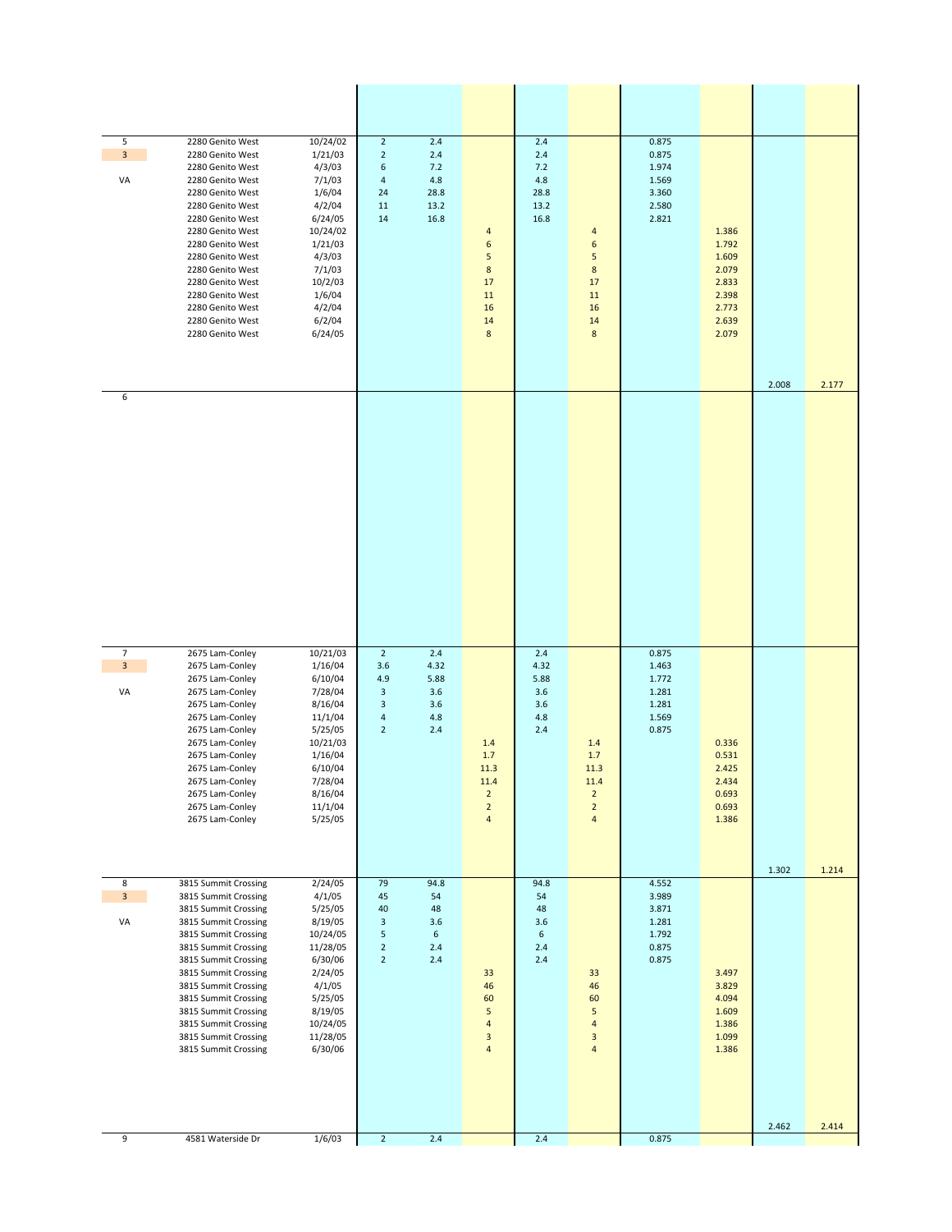| 5<br>$\mathbf{3}$<br>VA                 | 2280 Genito West<br>2280 Genito West<br>2280 Genito West<br>2280 Genito West<br>2280 Genito West<br>2280 Genito West<br>2280 Genito West<br>2280 Genito West<br>2280 Genito West<br>2280 Genito West<br>2280 Genito West<br>2280 Genito West<br>2280 Genito West<br>2280 Genito West<br>2280 Genito West<br>2280 Genito West                                      | 10/24/02<br>1/21/03<br>4/3/03<br>7/1/03<br>1/6/04<br>4/2/04<br>6/24/05<br>10/24/02<br>1/21/03<br>4/3/03<br>7/1/03<br>10/2/03<br>1/6/04<br>4/2/04<br>6/2/04<br>6/24/05 | $\overline{2}$<br>$\overline{2}$<br>6<br>$\sqrt{4}$<br>24<br>11<br>14                 | 2.4<br>2.4<br>7.2<br>4.8<br>28.8<br>13.2<br>16.8  | 4<br>6<br>5<br>$\bf 8$<br>17<br>11<br>16<br>14<br>$\bf 8$                    | 2.4<br>2.4<br>7.2<br>4.8<br>28.8<br>13.2<br>16.8      | $\overline{a}$<br>6<br>5<br>$\bf 8$<br>17<br>11<br>16<br>14<br>$\bf 8$           | 0.875<br>0.875<br>1.974<br>1.569<br>3.360<br>2.580<br>2.821          | 1.386<br>1.792<br>1.609<br>2.079<br>2.833<br>2.398<br>2.773<br>2.639<br>2.079 |       |       |
|-----------------------------------------|-------------------------------------------------------------------------------------------------------------------------------------------------------------------------------------------------------------------------------------------------------------------------------------------------------------------------------------------------------------------|-----------------------------------------------------------------------------------------------------------------------------------------------------------------------|---------------------------------------------------------------------------------------|---------------------------------------------------|------------------------------------------------------------------------------|-------------------------------------------------------|----------------------------------------------------------------------------------|----------------------------------------------------------------------|-------------------------------------------------------------------------------|-------|-------|
| 6                                       |                                                                                                                                                                                                                                                                                                                                                                   |                                                                                                                                                                       |                                                                                       |                                                   |                                                                              |                                                       |                                                                                  |                                                                      |                                                                               | 2.008 | 2.177 |
| $\overline{7}$<br>$\mathbf{3}$<br>VA    | 2675 Lam-Conley<br>2675 Lam-Conley<br>2675 Lam-Conley<br>2675 Lam-Conley<br>2675 Lam-Conley<br>2675 Lam-Conley<br>2675 Lam-Conley<br>2675 Lam-Conley<br>2675 Lam-Conley<br>2675 Lam-Conley<br>2675 Lam-Conley<br>2675 Lam-Conley<br>2675 Lam-Conley<br>2675 Lam-Conley                                                                                            | 10/21/03<br>1/16/04<br>6/10/04<br>7/28/04<br>8/16/04<br>11/1/04<br>5/25/05<br>10/21/03<br>1/16/04<br>6/10/04<br>7/28/04<br>8/16/04<br>11/1/04<br>5/25/05              | $\overline{2}$<br>3.6<br>4.9<br>$\ensuremath{\mathsf{3}}$<br>3<br>4<br>$\overline{2}$ | 2.4<br>4.32<br>5.88<br>3.6<br>3.6<br>4.8<br>2.4   | 1.4<br>1.7<br>11.3<br>11.4<br>$\overline{2}$<br>$\overline{2}$<br>4          | 2.4<br>4.32<br>5.88<br>3.6<br>3.6<br>4.8<br>2.4       | 1.4<br>$1.7\,$<br>11.3<br>11.4<br>$\overline{2}$<br>$\overline{2}$<br>$\sqrt{4}$ | 0.875<br>1.463<br>1.772<br>1.281<br>1.281<br>1.569<br>0.875          | 0.336<br>0.531<br>2.425<br>2.434<br>0.693<br>0.693<br>1.386                   | 1.302 | 1.214 |
| 8<br>$\overline{\mathbf{3}}$<br>VA<br>9 | 3815 Summit Crossing<br>3815 Summit Crossing<br>3815 Summit Crossing<br>3815 Summit Crossing<br>3815 Summit Crossing<br>3815 Summit Crossing<br>3815 Summit Crossing<br>3815 Summit Crossing<br>3815 Summit Crossing<br>3815 Summit Crossing<br>3815 Summit Crossing<br>3815 Summit Crossing<br>3815 Summit Crossing<br>3815 Summit Crossing<br>4581 Waterside Dr | 2/24/05<br>4/1/05<br>5/25/05<br>8/19/05<br>10/24/05<br>11/28/05<br>6/30/06<br>2/24/05<br>4/1/05<br>5/25/05<br>8/19/05<br>10/24/05<br>11/28/05<br>6/30/06<br>1/6/03    | 79<br>45<br>40<br>3<br>5<br>$\overline{2}$<br>$\overline{2}$<br>$\overline{2}$        | 94.8<br>54<br>48<br>3.6<br>6<br>2.4<br>2.4<br>2.4 | 33<br>46<br>60<br>5<br>$\sqrt{4}$<br>$\ensuremath{\mathsf{3}}$<br>$\sqrt{4}$ | 94.8<br>54<br>48<br>3.6<br>6<br>2.4<br>2.4<br>$2.4\,$ | 33<br>46<br>60<br>5<br>$\overline{a}$<br>3<br>4                                  | 4.552<br>3.989<br>3.871<br>1.281<br>1.792<br>0.875<br>0.875<br>0.875 | 3.497<br>3.829<br>4.094<br>1.609<br>1.386<br>1.099<br>1.386                   | 2.462 | 2.414 |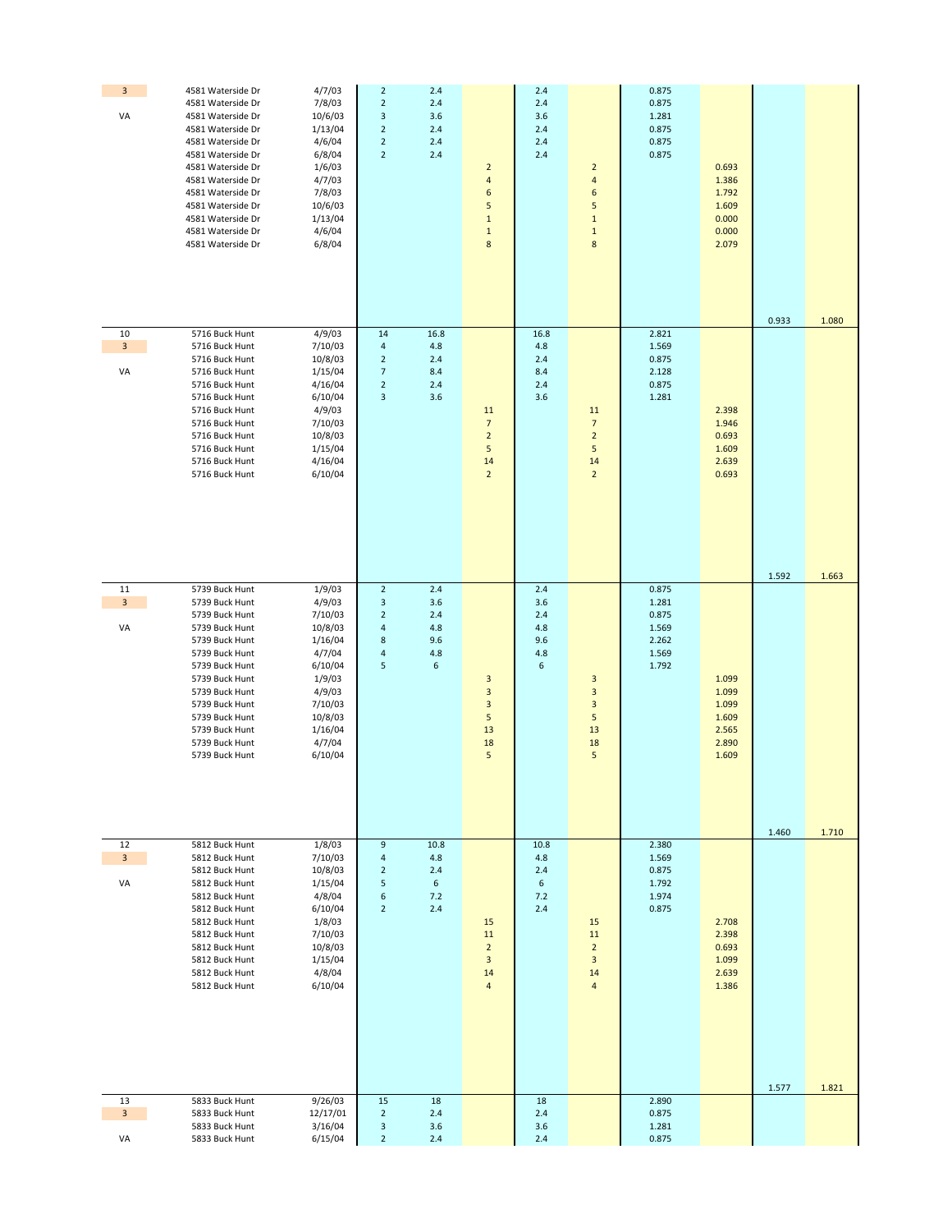| $\overline{\mathbf{3}}$<br>VA | 4581 Waterside Dr<br>4581 Waterside Dr<br>4581 Waterside Dr<br>4581 Waterside Dr<br>4581 Waterside Dr<br>4581 Waterside Dr<br>4581 Waterside Dr<br>4581 Waterside Dr<br>4581 Waterside Dr<br>4581 Waterside Dr<br>4581 Waterside Dr<br>4581 Waterside Dr<br>4581 Waterside Dr | 4/7/03<br>7/8/03<br>10/6/03<br>1/13/04<br>4/6/04<br>6/8/04<br>1/6/03<br>4/7/03<br>7/8/03<br>10/6/03<br>1/13/04<br>4/6/04<br>6/8/04               | $\mathbf 2$<br>$\mathbf 2$<br>$\mathsf 3$<br>$\overline{2}$<br>$\overline{2}$<br>$\overline{2}$                 | 2.4<br>2.4<br>3.6<br>2.4<br>2.4<br>2.4               | $\overline{2}$<br>$\sqrt{4}$<br>6<br>5<br>$1\,$<br>$\,1\,$<br>$\bf 8$                                 | 2.4<br>2.4<br>3.6<br>2.4<br>2.4<br>2.4      | $\overline{2}$<br>$\sqrt{4}$<br>6<br>5<br>$\mathbf 1$<br>$\mathbf 1$<br>$\bf 8$                       | 0.875<br>0.875<br>1.281<br>0.875<br>0.875<br>0.875          | 0.693<br>1.386<br>1.792<br>1.609<br>0.000<br>0.000<br>2.079 |                |                |
|-------------------------------|-------------------------------------------------------------------------------------------------------------------------------------------------------------------------------------------------------------------------------------------------------------------------------|--------------------------------------------------------------------------------------------------------------------------------------------------|-----------------------------------------------------------------------------------------------------------------|------------------------------------------------------|-------------------------------------------------------------------------------------------------------|---------------------------------------------|-------------------------------------------------------------------------------------------------------|-------------------------------------------------------------|-------------------------------------------------------------|----------------|----------------|
| 10<br>$\mathbf{3}$<br>VA      | 5716 Buck Hunt<br>5716 Buck Hunt<br>5716 Buck Hunt<br>5716 Buck Hunt<br>5716 Buck Hunt<br>5716 Buck Hunt<br>5716 Buck Hunt<br>5716 Buck Hunt<br>5716 Buck Hunt<br>5716 Buck Hunt<br>5716 Buck Hunt<br>5716 Buck Hunt                                                          | 4/9/03<br>7/10/03<br>10/8/03<br>1/15/04<br>4/16/04<br>6/10/04<br>4/9/03<br>7/10/03<br>10/8/03<br>1/15/04<br>4/16/04<br>6/10/04                   | 14<br>$\pmb{4}$<br>$\mathbf 2$<br>$\overline{7}$<br>$\overline{2}$<br>3                                         | 16.8<br>4.8<br>2.4<br>8.4<br>2.4<br>3.6              | 11<br>$\overline{7}$<br>$\overline{2}$<br>$\sqrt{5}$<br>$14\,$<br>$\overline{2}$                      | 16.8<br>4.8<br>2.4<br>8.4<br>2.4<br>3.6     | 11<br>$\overline{7}$<br>$\overline{2}$<br>5<br>14<br>$\overline{2}$                                   | 2.821<br>1.569<br>0.875<br>2.128<br>0.875<br>1.281          | 2.398<br>1.946<br>0.693<br>1.609<br>2.639<br>0.693          | 0.933<br>1.592 | 1.080<br>1.663 |
| 11<br>$\mathbf{3}$<br>VA      | 5739 Buck Hunt<br>5739 Buck Hunt<br>5739 Buck Hunt<br>5739 Buck Hunt<br>5739 Buck Hunt<br>5739 Buck Hunt<br>5739 Buck Hunt<br>5739 Buck Hunt<br>5739 Buck Hunt<br>5739 Buck Hunt<br>5739 Buck Hunt<br>5739 Buck Hunt<br>5739 Buck Hunt<br>5739 Buck Hunt                      | 1/9/03<br>4/9/03<br>7/10/03<br>10/8/03<br>1/16/04<br>4/7/04<br>6/10/04<br>1/9/03<br>4/9/03<br>7/10/03<br>10/8/03<br>1/16/04<br>4/7/04<br>6/10/04 | $\mathbf 2$<br>$\ensuremath{\mathsf{3}}$<br>$\mathbf 2$<br>$\overline{\mathbf{4}}$<br>$\bf 8$<br>$\pmb{4}$<br>5 | 2.4<br>3.6<br>2.4<br>4.8<br>9.6<br>4.8<br>6          | $\overline{\mathbf{3}}$<br>$\ensuremath{\mathsf{3}}$<br>$\overline{\mathbf{3}}$<br>5<br>13<br>18<br>5 | 2.4<br>3.6<br>2.4<br>4.8<br>9.6<br>4.8<br>6 | $\overline{\mathbf{3}}$<br>$\ensuremath{\mathsf{3}}$<br>$\overline{\mathbf{3}}$<br>5<br>13<br>18<br>5 | 0.875<br>1.281<br>0.875<br>1.569<br>2.262<br>1.569<br>1.792 | 1.099<br>1.099<br>1.099<br>1.609<br>2.565<br>2.890<br>1.609 | 1.460          | 1.710          |
| 12<br>$\overline{3}$<br>VA    | 5812 Buck Hunt<br>5812 Buck Hunt<br>5812 Buck Hunt<br>5812 Buck Hunt<br>5812 Buck Hunt<br>5812 Buck Hunt<br>5812 Buck Hunt<br>5812 Buck Hunt<br>5812 Buck Hunt<br>5812 Buck Hunt<br>5812 Buck Hunt<br>5812 Buck Hunt                                                          | 1/8/03<br>7/10/03<br>10/8/03<br>1/15/04<br>4/8/04<br>6/10/04<br>1/8/03<br>7/10/03<br>10/8/03<br>1/15/04<br>4/8/04<br>6/10/04                     | 9<br>$\overline{4}$<br>$\overline{2}$<br>5<br>6<br>$\overline{2}$                                               | 10.8<br>4.8<br>2.4<br>$\boldsymbol{6}$<br>7.2<br>2.4 | 15<br>11<br>$\overline{2}$<br>$\mathbf{3}$<br>14<br>$\overline{a}$                                    | 10.8<br>4.8<br>2.4<br>6<br>7.2<br>2.4       | 15<br>11<br>$\overline{2}$<br>$\mathbf{3}$<br>14<br>$\overline{4}$                                    | 2.380<br>1.569<br>0.875<br>1.792<br>1.974<br>0.875          | 2.708<br>2.398<br>0.693<br>1.099<br>2.639<br>1.386          | 1.577          | 1.821          |
| 13<br>$\mathbf{3}$<br>VA      | 5833 Buck Hunt<br>5833 Buck Hunt<br>5833 Buck Hunt<br>5833 Buck Hunt                                                                                                                                                                                                          | 9/26/03<br>12/17/01<br>3/16/04<br>6/15/04                                                                                                        | 15<br>$\overline{2}$<br>3<br>$2^{\circ}$                                                                        | 18<br>2.4<br>3.6<br>2.4                              |                                                                                                       | 18<br>2.4<br>3.6<br>2.4                     |                                                                                                       | 2.890<br>0.875<br>1.281<br>0.875                            |                                                             |                |                |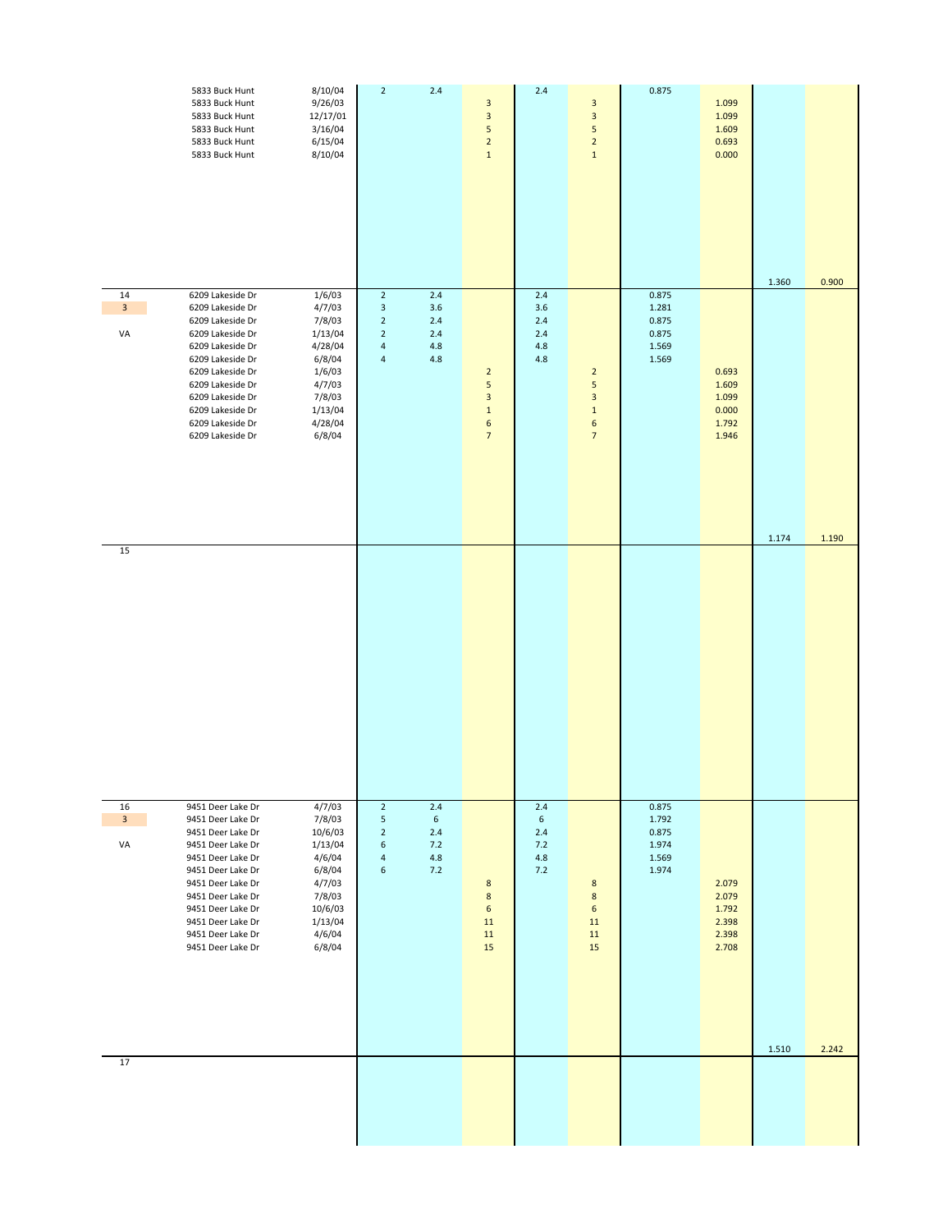|                                     | 5833 Buck Hunt<br>5833 Buck Hunt<br>5833 Buck Hunt<br>5833 Buck Hunt<br>5833 Buck Hunt<br>5833 Buck Hunt                                                                                                                                                 | 8/10/04<br>9/26/03<br>12/17/01<br>3/16/04<br>6/15/04<br>8/10/04                                                          | $\overline{2}$                                                                                                | $2.4\,$                                                | $\mathbf{3}$<br>$\ensuremath{\mathsf{3}}$<br>5<br>$\overline{2}$<br>$\mathbf 1$                     | $2.4\,$                                                    | $\mathbf{3}$<br>$\overline{\mathbf{3}}$<br>5<br>$\overline{2}$<br>$1\,$                | 0.875                                              | 1.099<br>1.099<br>1.609<br>0.693<br>0.000          | 1.360 | 0.900 |
|-------------------------------------|----------------------------------------------------------------------------------------------------------------------------------------------------------------------------------------------------------------------------------------------------------|--------------------------------------------------------------------------------------------------------------------------|---------------------------------------------------------------------------------------------------------------|--------------------------------------------------------|-----------------------------------------------------------------------------------------------------|------------------------------------------------------------|----------------------------------------------------------------------------------------|----------------------------------------------------|----------------------------------------------------|-------|-------|
| 14<br>$\mathbf{3}$<br>VA            | 6209 Lakeside Dr<br>6209 Lakeside Dr<br>6209 Lakeside Dr<br>6209 Lakeside Dr<br>6209 Lakeside Dr<br>6209 Lakeside Dr<br>6209 Lakeside Dr<br>6209 Lakeside Dr<br>6209 Lakeside Dr<br>6209 Lakeside Dr<br>6209 Lakeside Dr<br>6209 Lakeside Dr             | 1/6/03<br>4/7/03<br>7/8/03<br>1/13/04<br>4/28/04<br>6/8/04<br>1/6/03<br>4/7/03<br>7/8/03<br>1/13/04<br>4/28/04<br>6/8/04 | $\overline{2}$<br>3<br>$\overline{2}$<br>$\overline{2}$<br>$\overline{\mathbf{4}}$<br>$\overline{\mathbf{4}}$ | $2.4\,$<br>3.6<br>$2.4$<br>$2.4$<br>$4.8\,$<br>$4.8\,$ | $\overline{2}$<br>5<br>$\overline{\mathbf{3}}$<br>$\mathbf 1$<br>$\boldsymbol{6}$<br>$\overline{7}$ | $2.4\,$<br>3.6<br>$2.4$<br>$2.4$<br>4.8<br>4.8             | $\overline{2}$<br>5<br>$\ensuremath{\mathsf{3}}$<br>$\mathbf 1$<br>6<br>$\overline{7}$ | 0.875<br>1.281<br>0.875<br>0.875<br>1.569<br>1.569 | 0.693<br>1.609<br>1.099<br>0.000<br>1.792<br>1.946 | 1.174 | 1.190 |
| 15                                  |                                                                                                                                                                                                                                                          |                                                                                                                          |                                                                                                               |                                                        |                                                                                                     |                                                            |                                                                                        |                                                    |                                                    |       |       |
| 16<br>$\overline{\mathbf{3}}$<br>VA | 9451 Deer Lake Dr<br>9451 Deer Lake Dr<br>9451 Deer Lake Dr<br>9451 Deer Lake Dr<br>9451 Deer Lake Dr<br>9451 Deer Lake Dr<br>9451 Deer Lake Dr<br>9451 Deer Lake Dr<br>9451 Deer Lake Dr<br>9451 Deer Lake Dr<br>9451 Deer Lake Dr<br>9451 Deer Lake Dr | 4/7/03<br>7/8/03<br>10/6/03<br>1/13/04<br>4/6/04<br>6/8/04<br>4/7/03<br>7/8/03<br>10/6/03<br>1/13/04<br>4/6/04<br>6/8/04 | $\overline{2}$<br>5<br>$\overline{2}$<br>6<br>$\overline{\mathbf{4}}$<br>6                                    | 2.4<br>$\sqrt{6}$<br>$2.4\,$<br>7.2<br>$4.8\,$<br>7.2  | $\bf 8$<br>$\bf 8$<br>$\boldsymbol{6}$<br>11<br>$11\,$<br>15                                        | 2.4<br>$6\overline{6}$<br>$2.4\,$<br>7.2<br>$4.8\,$<br>7.2 | 8<br>$\bf 8$<br>$\boldsymbol{6}$<br>11<br>11<br>15                                     | 0.875<br>1.792<br>0.875<br>1.974<br>1.569<br>1.974 | 2.079<br>2.079<br>1.792<br>2.398<br>2.398<br>2.708 | 1.510 | 2.242 |
| 17                                  |                                                                                                                                                                                                                                                          |                                                                                                                          |                                                                                                               |                                                        |                                                                                                     |                                                            |                                                                                        |                                                    |                                                    |       |       |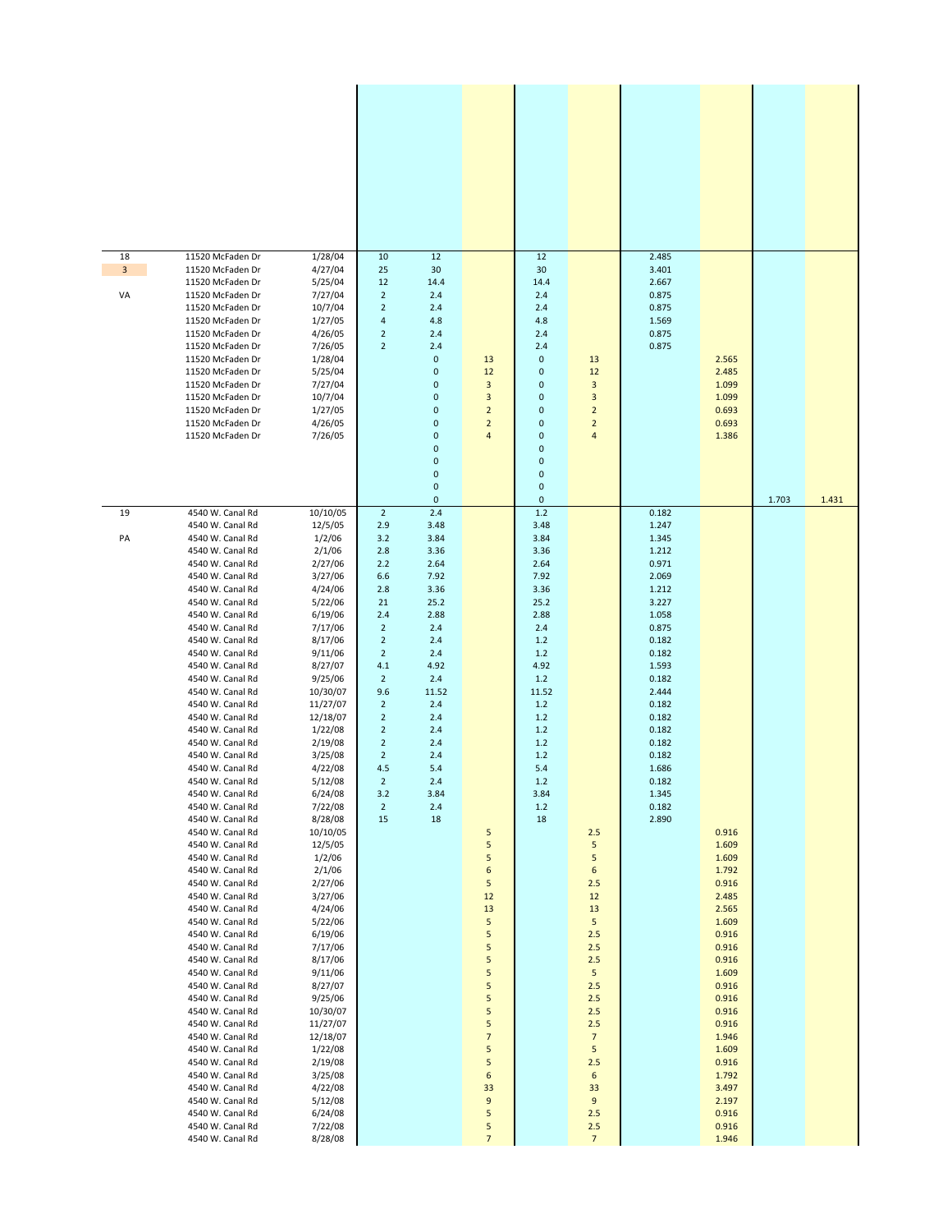| 18<br>$\mathbf{3}$<br>VA | 11520 McFaden Dr<br>11520 McFaden Dr<br>11520 McFaden Dr<br>11520 McFaden Dr<br>11520 McFaden Dr<br>11520 McFaden Dr<br>11520 McFaden Dr<br>11520 McFaden Dr<br>11520 McFaden Dr<br>11520 McFaden Dr<br>11520 McFaden Dr<br>11520 McFaden Dr<br>11520 McFaden Dr<br>11520 McFaden Dr<br>11520 McFaden Dr                                                                                                                                                                                                                                                                                                                                                                                                                                                                                                                                                                                                                                                                                                                             | 1/28/04<br>4/27/04<br>5/25/04<br>7/27/04<br>10/7/04<br>1/27/05<br>4/26/05<br>7/26/05<br>1/28/04<br>5/25/04<br>7/27/04<br>10/7/04<br>1/27/05<br>4/26/05<br>7/26/05                                                                                                                                                                                                                                                                                                                                                                                                      | 10<br>25<br>12<br>$\overline{2}$<br>$\mathbf 2$<br>4<br>$\overline{2}$<br>$\overline{2}$                                                                                                                                                                                                                   | 12<br>30<br>14.4<br>2.4<br>2.4<br>4.8<br>2.4<br>2.4<br>0<br>0<br>0<br>0<br>0<br>0<br>0<br>0<br>0<br>0<br>0<br>0                                                                          | 13<br>12<br>3<br>3<br>$\overline{2}$<br>$\overline{2}$<br>$\overline{\mathbf{4}}$                                                                                    | 12<br>30<br>14.4<br>2.4<br>2.4<br>4.8<br>2.4<br>2.4<br>$\mathbf 0$<br>0<br>$\pmb{0}$<br>0<br>$\pmb{0}$<br>0<br>$\pmb{0}$<br>0<br>$\pmb{0}$<br>$\mathbf 0$<br>$\mathbf 0$<br>$\mathbf 0$        | 13<br>12<br>3<br>3<br>$\overline{2}$<br>$\overline{2}$<br>4                                                                                                                    | 2.485<br>3.401<br>2.667<br>0.875<br>0.875<br>1.569<br>0.875<br>0.875                                                                                                                                                          | 2.565<br>2.485<br>1.099<br>1.099<br>0.693<br>0.693<br>1.386                                                                                                                                                                   | 1.703 | 1.431 |
|--------------------------|--------------------------------------------------------------------------------------------------------------------------------------------------------------------------------------------------------------------------------------------------------------------------------------------------------------------------------------------------------------------------------------------------------------------------------------------------------------------------------------------------------------------------------------------------------------------------------------------------------------------------------------------------------------------------------------------------------------------------------------------------------------------------------------------------------------------------------------------------------------------------------------------------------------------------------------------------------------------------------------------------------------------------------------|------------------------------------------------------------------------------------------------------------------------------------------------------------------------------------------------------------------------------------------------------------------------------------------------------------------------------------------------------------------------------------------------------------------------------------------------------------------------------------------------------------------------------------------------------------------------|------------------------------------------------------------------------------------------------------------------------------------------------------------------------------------------------------------------------------------------------------------------------------------------------------------|------------------------------------------------------------------------------------------------------------------------------------------------------------------------------------------|----------------------------------------------------------------------------------------------------------------------------------------------------------------------|------------------------------------------------------------------------------------------------------------------------------------------------------------------------------------------------|--------------------------------------------------------------------------------------------------------------------------------------------------------------------------------|-------------------------------------------------------------------------------------------------------------------------------------------------------------------------------------------------------------------------------|-------------------------------------------------------------------------------------------------------------------------------------------------------------------------------------------------------------------------------|-------|-------|
| 19<br>PA                 | 4540 W. Canal Rd<br>4540 W. Canal Rd<br>4540 W. Canal Rd<br>4540 W. Canal Rd<br>4540 W. Canal Rd<br>4540 W. Canal Rd<br>4540 W. Canal Rd<br>4540 W. Canal Rd<br>4540 W. Canal Rd<br>4540 W. Canal Rd<br>4540 W. Canal Rd<br>4540 W. Canal Rd<br>4540 W. Canal Rd<br>4540 W. Canal Rd<br>4540 W. Canal Rd<br>4540 W. Canal Rd<br>4540 W. Canal Rd<br>4540 W. Canal Rd<br>4540 W. Canal Rd<br>4540 W. Canal Rd<br>4540 W. Canal Rd<br>4540 W. Canal Rd<br>4540 W. Canal Rd<br>4540 W. Canal Rd<br>4540 W. Canal Rd<br>4540 W. Canal Rd<br>4540 W. Canal Rd<br>4540 W. Canal Rd<br>4540 W. Canal Rd<br>4540 W. Canal Rd<br>4540 W. Canal Rd<br>4540 W. Canal Rd<br>4540 W. Canal Rd<br>4540 W. Canal Rd<br>4540 W. Canal Rd<br>4540 W. Canal Rd<br>4540 W. Canal Rd<br>4540 W. Canal Rd<br>4540 W. Canal Rd<br>4540 W. Canal Rd<br>4540 W. Canal Rd<br>4540 W. Canal Rd<br>4540 W. Canal Rd<br>4540 W. Canal Rd<br>4540 W. Canal Rd<br>4540 W. Canal Rd<br>4540 W. Canal Rd<br>4540 W. Canal Rd<br>4540 W. Canal Rd<br>4540 W. Canal Rd | 10/10/05<br>12/5/05<br>1/2/06<br>2/1/06<br>2/27/06<br>3/27/06<br>4/24/06<br>5/22/06<br>6/19/06<br>7/17/06<br>8/17/06<br>9/11/06<br>8/27/07<br>9/25/06<br>10/30/07<br>11/27/07<br>12/18/07<br>1/22/08<br>2/19/08<br>3/25/08<br>4/22/08<br>5/12/08<br>6/24/08<br>7/22/08<br>8/28/08<br>10/10/05<br>12/5/05<br>1/2/06<br>2/1/06<br>2/27/06<br>3/27/06<br>4/24/06<br>5/22/06<br>6/19/06<br>7/17/06<br>8/17/06<br>9/11/06<br>8/27/07<br>9/25/06<br>10/30/07<br>11/27/07<br>12/18/07<br>1/22/08<br>2/19/08<br>3/25/08<br>4/22/08<br>5/12/08<br>6/24/08<br>7/22/08<br>8/28/08 | $\overline{2}$<br>2.9<br>3.2<br>2.8<br>2.2<br>6.6<br>2.8<br>21<br>2.4<br>$\overline{2}$<br>$\overline{2}$<br>$\overline{2}$<br>4.1<br>$\overline{2}$<br>9.6<br>$\overline{2}$<br>$\overline{2}$<br>$\overline{2}$<br>$\mathbf 2$<br>$\overline{2}$<br>4.5<br>$\overline{2}$<br>3.2<br>$\overline{2}$<br>15 | 2.4<br>3.48<br>3.84<br>3.36<br>2.64<br>7.92<br>3.36<br>25.2<br>2.88<br>2.4<br>2.4<br>2.4<br>4.92<br>2.4<br>11.52<br>2.4<br>2.4<br>2.4<br>2.4<br>2.4<br>$5.4$<br>2.4<br>3.84<br>2.4<br>18 | 5<br>5<br>5<br>6<br>5<br>$12\,$<br>13<br>5<br>5<br>5<br>5<br>5<br>5<br>5<br>5<br>5<br>$\overline{\phantom{a}}$<br>5<br>5<br>6<br>33<br>9<br>5<br>5<br>$\overline{7}$ | $1.2$<br>3.48<br>3.84<br>3.36<br>2.64<br>7.92<br>3.36<br>25.2<br>2.88<br>2.4<br>1.2<br>$1.2$<br>4.92<br>1.2<br>11.52<br>1.2<br>1.2<br>$1.2$<br>1.2<br>1.2<br>5.4<br>1.2<br>3.84<br>$1.2$<br>18 | 2.5<br>5<br>5<br>6<br>2.5<br>12<br>13<br>5<br>2.5<br>2.5<br>2.5<br>5<br>2.5<br>2.5<br>2.5<br>2.5<br>$\overline{7}$<br>5<br>2.5<br>6<br>33<br>9<br>2.5<br>2.5<br>$\overline{7}$ | 0.182<br>1.247<br>1.345<br>1.212<br>0.971<br>2.069<br>1.212<br>3.227<br>1.058<br>0.875<br>0.182<br>0.182<br>1.593<br>0.182<br>2.444<br>0.182<br>0.182<br>0.182<br>0.182<br>0.182<br>1.686<br>0.182<br>1.345<br>0.182<br>2.890 | 0.916<br>1.609<br>1.609<br>1.792<br>0.916<br>2.485<br>2.565<br>1.609<br>0.916<br>0.916<br>0.916<br>1.609<br>0.916<br>0.916<br>0.916<br>0.916<br>1.946<br>1.609<br>0.916<br>1.792<br>3.497<br>2.197<br>0.916<br>0.916<br>1.946 |       |       |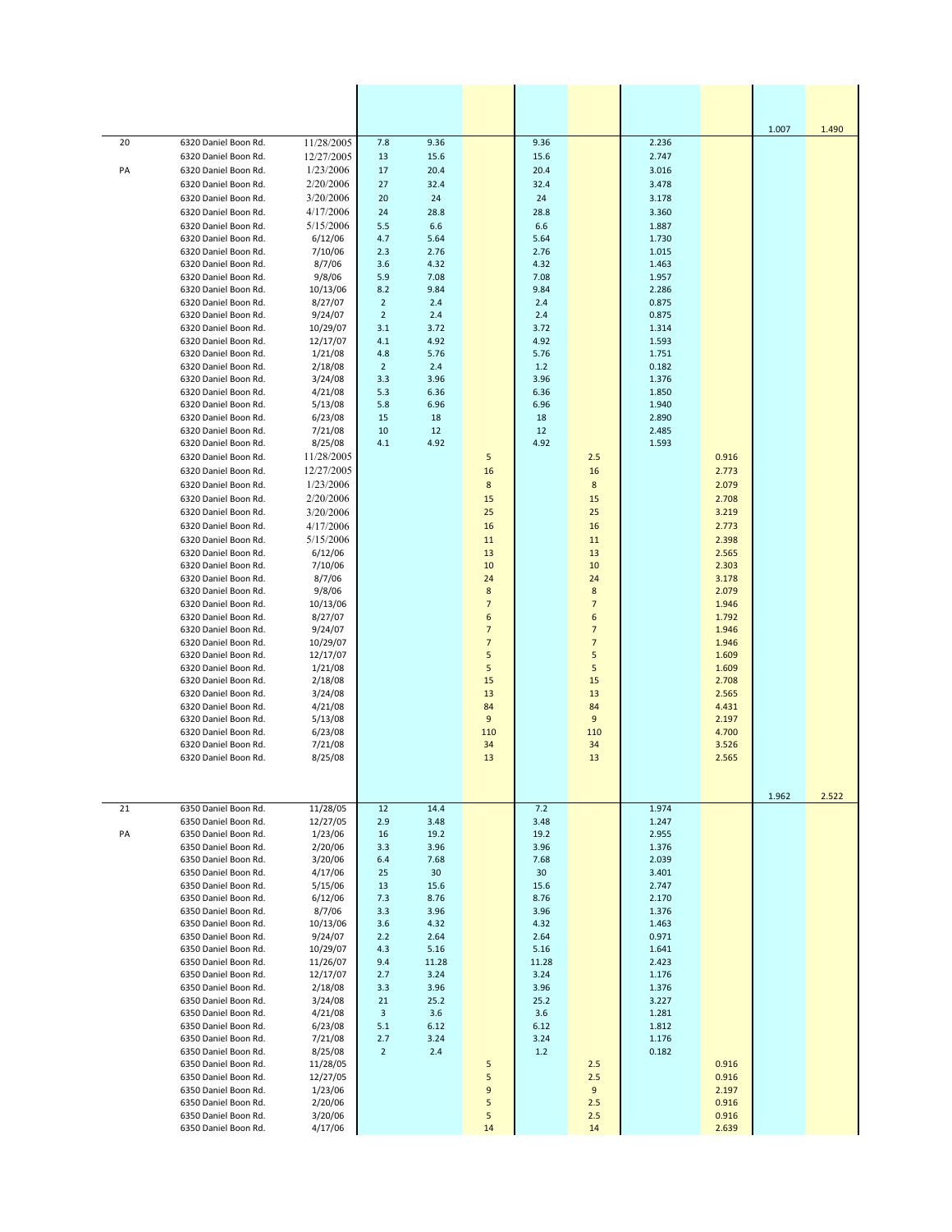|    |                                              |                         |                       |               |                     |               |                                  |                |                | 1.007 | 1.490 |
|----|----------------------------------------------|-------------------------|-----------------------|---------------|---------------------|---------------|----------------------------------|----------------|----------------|-------|-------|
| 20 | 6320 Daniel Boon Rd.                         | 11/28/2005              | 7.8                   | 9.36          |                     | 9.36          |                                  | 2.236          |                |       |       |
|    | 6320 Daniel Boon Rd.                         | 12/27/2005<br>1/23/2006 | 13                    | 15.6          |                     | 15.6          |                                  | 2.747          |                |       |       |
| PA | 6320 Daniel Boon Rd.<br>6320 Daniel Boon Rd. | 2/20/2006               | 17<br>27              | 20.4<br>32.4  |                     | 20.4<br>32.4  |                                  | 3.016<br>3.478 |                |       |       |
|    | 6320 Daniel Boon Rd.                         | 3/20/2006               | 20                    | 24            |                     | 24            |                                  | 3.178          |                |       |       |
|    | 6320 Daniel Boon Rd.                         | 4/17/2006               | 24                    | 28.8          |                     | 28.8          |                                  | 3.360          |                |       |       |
|    | 6320 Daniel Boon Rd.                         | 5/15/2006               | 5.5                   | 6.6           |                     | 6.6           |                                  | 1.887          |                |       |       |
|    | 6320 Daniel Boon Rd.                         | 6/12/06                 | 4.7                   | 5.64          |                     | 5.64          |                                  | 1.730          |                |       |       |
|    | 6320 Daniel Boon Rd.<br>6320 Daniel Boon Rd. | 7/10/06<br>8/7/06       | 2.3<br>3.6            | 2.76<br>4.32  |                     | 2.76<br>4.32  |                                  | 1.015<br>1.463 |                |       |       |
|    | 6320 Daniel Boon Rd.                         | 9/8/06                  | 5.9                   | 7.08          |                     | 7.08          |                                  | 1.957          |                |       |       |
|    | 6320 Daniel Boon Rd.                         | 10/13/06                | 8.2                   | 9.84          |                     | 9.84          |                                  | 2.286          |                |       |       |
|    | 6320 Daniel Boon Rd.                         | 8/27/07                 | $\overline{2}$        | 2.4           |                     | 2.4           |                                  | 0.875          |                |       |       |
|    | 6320 Daniel Boon Rd.<br>6320 Daniel Boon Rd. | 9/24/07<br>10/29/07     | $\overline{2}$<br>3.1 | 2.4<br>3.72   |                     | 2.4<br>3.72   |                                  | 0.875<br>1.314 |                |       |       |
|    | 6320 Daniel Boon Rd.                         | 12/17/07                | 4.1                   | 4.92          |                     | 4.92          |                                  | 1.593          |                |       |       |
|    | 6320 Daniel Boon Rd.                         | 1/21/08                 | 4.8                   | 5.76          |                     | 5.76          |                                  | 1.751          |                |       |       |
|    | 6320 Daniel Boon Rd.                         | 2/18/08                 | $\overline{2}$        | 2.4           |                     | $1.2$         |                                  | 0.182          |                |       |       |
|    | 6320 Daniel Boon Rd.<br>6320 Daniel Boon Rd. | 3/24/08                 | 3.3                   | 3.96          |                     | 3.96          |                                  | 1.376          |                |       |       |
|    | 6320 Daniel Boon Rd.                         | 4/21/08<br>5/13/08      | 5.3<br>5.8            | 6.36<br>6.96  |                     | 6.36<br>6.96  |                                  | 1.850<br>1.940 |                |       |       |
|    | 6320 Daniel Boon Rd.                         | 6/23/08                 | 15                    | 18            |                     | 18            |                                  | 2.890          |                |       |       |
|    | 6320 Daniel Boon Rd.                         | 7/21/08                 | 10                    | 12            |                     | 12            |                                  | 2.485          |                |       |       |
|    | 6320 Daniel Boon Rd.                         | 8/25/08                 | 4.1                   | 4.92          |                     | 4.92          |                                  | 1.593          |                |       |       |
|    | 6320 Daniel Boon Rd.                         | 11/28/2005              |                       |               | 5                   |               | 2.5                              |                | 0.916          |       |       |
|    | 6320 Daniel Boon Rd.<br>6320 Daniel Boon Rd. | 12/27/2005<br>1/23/2006 |                       |               | 16<br>8             |               | 16<br>8                          |                | 2.773<br>2.079 |       |       |
|    | 6320 Daniel Boon Rd.                         | 2/20/2006               |                       |               | 15                  |               | 15                               |                | 2.708          |       |       |
|    | 6320 Daniel Boon Rd.                         | 3/20/2006               |                       |               | 25                  |               | 25                               |                | 3.219          |       |       |
|    | 6320 Daniel Boon Rd.                         | 4/17/2006               |                       |               | 16                  |               | 16                               |                | 2.773          |       |       |
|    | 6320 Daniel Boon Rd.                         | 5/15/2006               |                       |               | 11                  |               | 11                               |                | 2.398          |       |       |
|    | 6320 Daniel Boon Rd.                         | 6/12/06                 |                       |               | 13                  |               | 13                               |                | 2.565          |       |       |
|    | 6320 Daniel Boon Rd.<br>6320 Daniel Boon Rd. | 7/10/06<br>8/7/06       |                       |               | 10<br>24            |               | 10<br>24                         |                | 2.303<br>3.178 |       |       |
|    | 6320 Daniel Boon Rd.                         | 9/8/06                  |                       |               | 8                   |               | $\bf 8$                          |                | 2.079          |       |       |
|    | 6320 Daniel Boon Rd.                         | 10/13/06                |                       |               | $\overline{7}$      |               | $\overline{7}$                   |                | 1.946          |       |       |
|    | 6320 Daniel Boon Rd.                         | 8/27/07                 |                       |               | 6                   |               | 6                                |                | 1.792          |       |       |
|    | 6320 Daniel Boon Rd.<br>6320 Daniel Boon Rd. | 9/24/07<br>10/29/07     |                       |               | $\overline{7}$<br>7 |               | $\overline{7}$<br>$\overline{7}$ |                | 1.946<br>1.946 |       |       |
|    | 6320 Daniel Boon Rd.                         | 12/17/07                |                       |               | 5                   |               | 5                                |                | 1.609          |       |       |
|    | 6320 Daniel Boon Rd.                         | 1/21/08                 |                       |               | 5                   |               | 5                                |                | 1.609          |       |       |
|    | 6320 Daniel Boon Rd.                         | 2/18/08                 |                       |               | 15                  |               | 15                               |                | 2.708          |       |       |
|    | 6320 Daniel Boon Rd.<br>6320 Daniel Boon Rd. | 3/24/08<br>4/21/08      |                       |               | 13<br>84            |               | 13<br>84                         |                | 2.565<br>4.431 |       |       |
|    | 6320 Daniel Boon Rd.                         | 5/13/08                 |                       |               | 9                   |               | 9                                |                | 2.197          |       |       |
|    | 6320 Daniel Boon Rd.                         | 6/23/08                 |                       |               | 110                 |               | 110                              |                | 4.700          |       |       |
|    | 6320 Daniel Boon Rd.                         | 7/21/08                 |                       |               | 34                  |               | 34                               |                | 3.526          |       |       |
|    | 6320 Daniel Boon Rd.                         | 8/25/08                 |                       |               | 13                  |               | 13                               |                | 2.565          |       |       |
|    |                                              |                         |                       |               |                     |               |                                  |                |                |       |       |
|    |                                              |                         |                       |               |                     |               |                                  |                |                | 1.962 | 2.522 |
| 21 | 6350 Daniel Boon Rd.                         | 11/28/05                | 12                    | 14.4          |                     | 7.2           |                                  | 1.974          |                |       |       |
| PA | 6350 Daniel Boon Rd.<br>6350 Daniel Boon Rd. | 12/27/05<br>1/23/06     | 2.9<br>16             | 3.48<br>19.2  |                     | 3.48<br>19.2  |                                  | 1.247<br>2.955 |                |       |       |
|    | 6350 Daniel Boon Rd.                         | 2/20/06                 | 3.3                   | 3.96          |                     | 3.96          |                                  | 1.376          |                |       |       |
|    | 6350 Daniel Boon Rd.                         | 3/20/06                 | 6.4                   | 7.68          |                     | 7.68          |                                  | 2.039          |                |       |       |
|    | 6350 Daniel Boon Rd.                         | 4/17/06                 | 25                    | 30            |                     | 30            |                                  | 3.401          |                |       |       |
|    | 6350 Daniel Boon Rd.<br>6350 Daniel Boon Rd. | 5/15/06<br>6/12/06      | 13<br>7.3             | 15.6<br>8.76  |                     | 15.6<br>8.76  |                                  | 2.747<br>2.170 |                |       |       |
|    | 6350 Daniel Boon Rd.                         | 8/7/06                  | 3.3                   | 3.96          |                     | 3.96          |                                  | 1.376          |                |       |       |
|    | 6350 Daniel Boon Rd.                         | 10/13/06                | 3.6                   | 4.32          |                     | 4.32          |                                  | 1.463          |                |       |       |
|    | 6350 Daniel Boon Rd.                         | 9/24/07                 | 2.2                   | 2.64          |                     | 2.64          |                                  | 0.971          |                |       |       |
|    | 6350 Daniel Boon Rd.<br>6350 Daniel Boon Rd. | 10/29/07<br>11/26/07    | 4.3<br>9.4            | 5.16<br>11.28 |                     | 5.16<br>11.28 |                                  | 1.641<br>2.423 |                |       |       |
|    | 6350 Daniel Boon Rd.                         | 12/17/07                | 2.7                   | 3.24          |                     | 3.24          |                                  | 1.176          |                |       |       |
|    | 6350 Daniel Boon Rd.                         | 2/18/08                 | 3.3                   | 3.96          |                     | 3.96          |                                  | 1.376          |                |       |       |
|    | 6350 Daniel Boon Rd.                         | 3/24/08                 | 21                    | 25.2          |                     | 25.2          |                                  | 3.227          |                |       |       |
|    | 6350 Daniel Boon Rd.<br>6350 Daniel Boon Rd. | 4/21/08                 | 3<br>5.1              | 3.6<br>6.12   |                     | 3.6<br>6.12   |                                  | 1.281<br>1.812 |                |       |       |
|    | 6350 Daniel Boon Rd.                         | 6/23/08<br>7/21/08      | 2.7                   | 3.24          |                     | 3.24          |                                  | 1.176          |                |       |       |
|    | 6350 Daniel Boon Rd.                         | 8/25/08                 | $\overline{2}$        | 2.4           |                     | 1.2           |                                  | 0.182          |                |       |       |
|    | 6350 Daniel Boon Rd.                         | 11/28/05                |                       |               | 5                   |               | 2.5                              |                | 0.916          |       |       |
|    | 6350 Daniel Boon Rd.<br>6350 Daniel Boon Rd. | 12/27/05                |                       |               | 5<br>9              |               | 2.5<br>9                         |                | 0.916<br>2.197 |       |       |
|    | 6350 Daniel Boon Rd.                         | 1/23/06<br>2/20/06      |                       |               | 5                   |               | 2.5                              |                | 0.916          |       |       |
|    | 6350 Daniel Boon Rd.                         | 3/20/06                 |                       |               | 5                   |               | 2.5                              |                | 0.916          |       |       |
|    | 6350 Daniel Boon Rd.                         | 4/17/06                 |                       |               | 14                  |               | 14                               |                | 2.639          |       |       |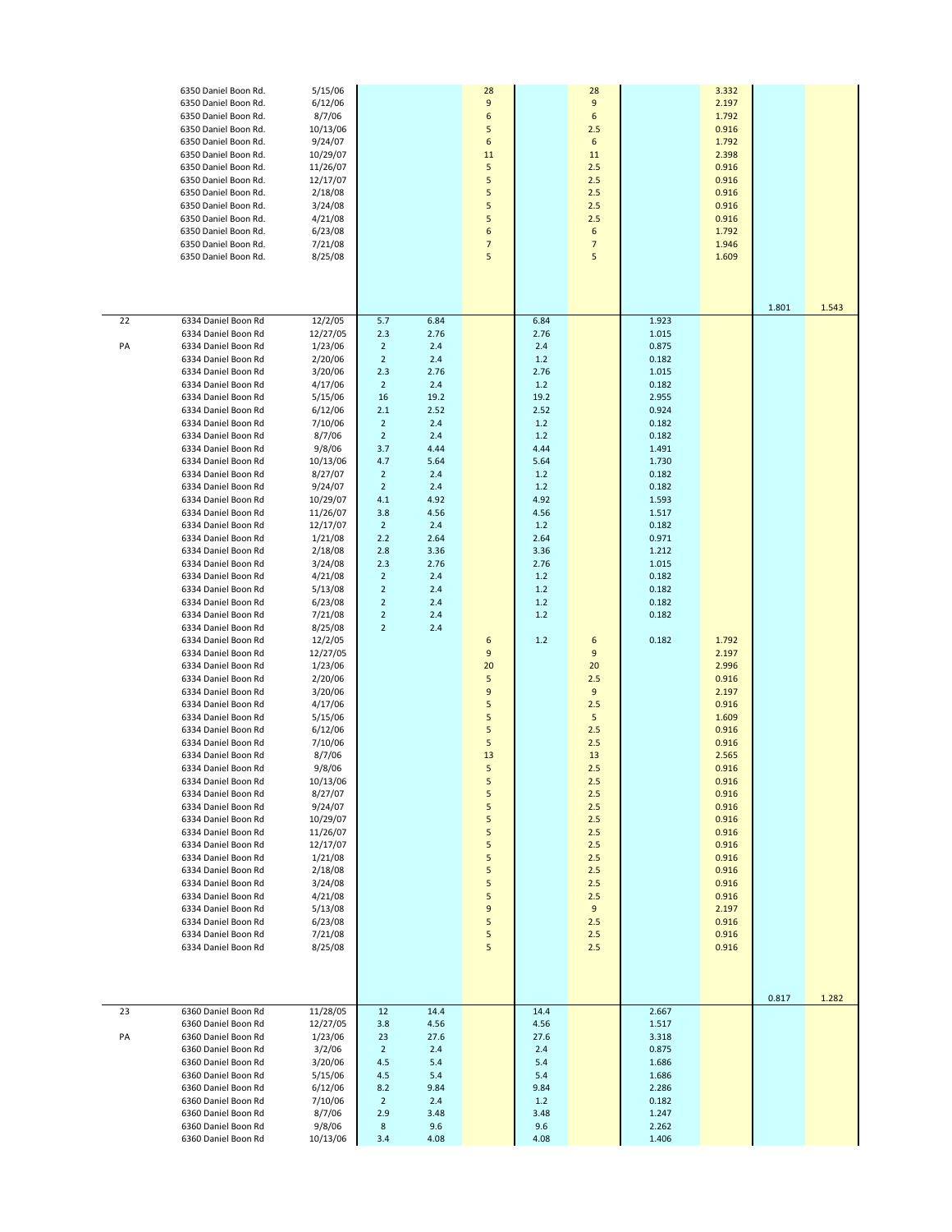|    | 6350 Daniel Boon Rd.<br>6350 Daniel Boon Rd.<br>6350 Daniel Boon Rd.<br>6350 Daniel Boon Rd.<br>6350 Daniel Boon Rd.<br>6350 Daniel Boon Rd.<br>6350 Daniel Boon Rd.<br>6350 Daniel Boon Rd.<br>6350 Daniel Boon Rd.<br>6350 Daniel Boon Rd.<br>6350 Daniel Boon Rd.<br>6350 Daniel Boon Rd.<br>6350 Daniel Boon Rd.<br>6350 Daniel Boon Rd. | 5/15/06<br>6/12/06<br>8/7/06<br>10/13/06<br>9/24/07<br>10/29/07<br>11/26/07<br>12/17/07<br>2/18/08<br>3/24/08<br>4/21/08<br>6/23/08<br>7/21/08<br>8/25/08 |                         |              | 28<br>9<br>6<br>5<br>6<br>11<br>5<br>5<br>5<br>5<br>5<br>6<br>$\overline{7}$<br>5 |               | 28<br>$\boldsymbol{9}$<br>6<br>2.5<br>6<br>11<br>2.5<br>2.5<br>2.5<br>2.5<br>2.5<br>6<br>$\overline{7}$<br>5 |                | 3.332<br>2.197<br>1.792<br>0.916<br>1.792<br>2.398<br>0.916<br>0.916<br>0.916<br>0.916<br>0.916<br>1.792<br>1.946<br>1.609 |       |       |
|----|----------------------------------------------------------------------------------------------------------------------------------------------------------------------------------------------------------------------------------------------------------------------------------------------------------------------------------------------|-----------------------------------------------------------------------------------------------------------------------------------------------------------|-------------------------|--------------|-----------------------------------------------------------------------------------|---------------|--------------------------------------------------------------------------------------------------------------|----------------|----------------------------------------------------------------------------------------------------------------------------|-------|-------|
| 22 | 6334 Daniel Boon Rd<br>6334 Daniel Boon Rd                                                                                                                                                                                                                                                                                                   | 12/2/05<br>12/27/05                                                                                                                                       | 5.7<br>2.3              | 6.84<br>2.76 |                                                                                   | 6.84<br>2.76  |                                                                                                              | 1.923<br>1.015 |                                                                                                                            | 1.801 | 1.543 |
| PA | 6334 Daniel Boon Rd                                                                                                                                                                                                                                                                                                                          | 1/23/06                                                                                                                                                   | $\overline{2}$          | 2.4          |                                                                                   | 2.4           |                                                                                                              | 0.875          |                                                                                                                            |       |       |
|    | 6334 Daniel Boon Rd<br>6334 Daniel Boon Rd                                                                                                                                                                                                                                                                                                   | 2/20/06                                                                                                                                                   | $\overline{2}$          | 2.4<br>2.76  |                                                                                   | 1.2           |                                                                                                              | 0.182          |                                                                                                                            |       |       |
|    | 6334 Daniel Boon Rd                                                                                                                                                                                                                                                                                                                          | 3/20/06<br>4/17/06                                                                                                                                        | 2.3<br>$\overline{2}$   | 2.4          |                                                                                   | 2.76<br>1.2   |                                                                                                              | 1.015<br>0.182 |                                                                                                                            |       |       |
|    | 6334 Daniel Boon Rd                                                                                                                                                                                                                                                                                                                          | 5/15/06                                                                                                                                                   | 16                      | 19.2         |                                                                                   | 19.2          |                                                                                                              | 2.955          |                                                                                                                            |       |       |
|    | 6334 Daniel Boon Rd                                                                                                                                                                                                                                                                                                                          | 6/12/06                                                                                                                                                   | 2.1                     | 2.52         |                                                                                   | 2.52          |                                                                                                              | 0.924          |                                                                                                                            |       |       |
|    | 6334 Daniel Boon Rd                                                                                                                                                                                                                                                                                                                          | 7/10/06                                                                                                                                                   | $\overline{\mathbf{c}}$ | 2.4          |                                                                                   | 1.2           |                                                                                                              | 0.182          |                                                                                                                            |       |       |
|    | 6334 Daniel Boon Rd                                                                                                                                                                                                                                                                                                                          | 8/7/06                                                                                                                                                    | $\overline{2}$          | 2.4          |                                                                                   | 1.2           |                                                                                                              | 0.182          |                                                                                                                            |       |       |
|    | 6334 Daniel Boon Rd                                                                                                                                                                                                                                                                                                                          | 9/8/06                                                                                                                                                    | 3.7                     | 4.44         |                                                                                   | 4.44          |                                                                                                              | 1.491          |                                                                                                                            |       |       |
|    | 6334 Daniel Boon Rd<br>6334 Daniel Boon Rd                                                                                                                                                                                                                                                                                                   | 10/13/06<br>8/27/07                                                                                                                                       | 4.7<br>$\overline{2}$   | 5.64<br>2.4  |                                                                                   | 5.64<br>1.2   |                                                                                                              | 1.730<br>0.182 |                                                                                                                            |       |       |
|    | 6334 Daniel Boon Rd                                                                                                                                                                                                                                                                                                                          | 9/24/07                                                                                                                                                   | $\overline{2}$          | 2.4          |                                                                                   | 1.2           |                                                                                                              | 0.182          |                                                                                                                            |       |       |
|    | 6334 Daniel Boon Rd                                                                                                                                                                                                                                                                                                                          | 10/29/07                                                                                                                                                  | 4.1                     | 4.92         |                                                                                   | 4.92          |                                                                                                              | 1.593          |                                                                                                                            |       |       |
|    | 6334 Daniel Boon Rd                                                                                                                                                                                                                                                                                                                          | 11/26/07                                                                                                                                                  | 3.8                     | 4.56         |                                                                                   | 4.56          |                                                                                                              | 1.517          |                                                                                                                            |       |       |
|    | 6334 Daniel Boon Rd                                                                                                                                                                                                                                                                                                                          | 12/17/07                                                                                                                                                  | $\overline{2}$          | 2.4          |                                                                                   | 1.2           |                                                                                                              | 0.182          |                                                                                                                            |       |       |
|    | 6334 Daniel Boon Rd                                                                                                                                                                                                                                                                                                                          | 1/21/08                                                                                                                                                   | 2.2                     | 2.64         |                                                                                   | 2.64          |                                                                                                              | 0.971          |                                                                                                                            |       |       |
|    | 6334 Daniel Boon Rd<br>6334 Daniel Boon Rd                                                                                                                                                                                                                                                                                                   | 2/18/08<br>3/24/08                                                                                                                                        | 2.8<br>2.3              | 3.36<br>2.76 |                                                                                   | 3.36<br>2.76  |                                                                                                              | 1.212<br>1.015 |                                                                                                                            |       |       |
|    | 6334 Daniel Boon Rd                                                                                                                                                                                                                                                                                                                          | 4/21/08                                                                                                                                                   | $\overline{2}$          | 2.4          |                                                                                   | 1.2           |                                                                                                              | 0.182          |                                                                                                                            |       |       |
|    | 6334 Daniel Boon Rd                                                                                                                                                                                                                                                                                                                          | 5/13/08                                                                                                                                                   | $\overline{2}$          | 2.4          |                                                                                   | 1.2           |                                                                                                              | 0.182          |                                                                                                                            |       |       |
|    | 6334 Daniel Boon Rd                                                                                                                                                                                                                                                                                                                          | 6/23/08                                                                                                                                                   | $\overline{2}$          | 2.4          |                                                                                   | 1.2           |                                                                                                              | 0.182          |                                                                                                                            |       |       |
|    | 6334 Daniel Boon Rd                                                                                                                                                                                                                                                                                                                          | 7/21/08                                                                                                                                                   | $\overline{2}$          | 2.4          |                                                                                   | 1.2           |                                                                                                              | 0.182          |                                                                                                                            |       |       |
|    | 6334 Daniel Boon Rd                                                                                                                                                                                                                                                                                                                          | 8/25/08                                                                                                                                                   | $\overline{2}$          | 2.4          |                                                                                   |               |                                                                                                              |                |                                                                                                                            |       |       |
|    | 6334 Daniel Boon Rd<br>6334 Daniel Boon Rd                                                                                                                                                                                                                                                                                                   | 12/2/05<br>12/27/05                                                                                                                                       |                         |              | 6<br>9                                                                            | 1.2           | 6<br>9                                                                                                       | 0.182          | 1.792<br>2.197                                                                                                             |       |       |
|    | 6334 Daniel Boon Rd                                                                                                                                                                                                                                                                                                                          | 1/23/06                                                                                                                                                   |                         |              | 20                                                                                |               | 20                                                                                                           |                | 2.996                                                                                                                      |       |       |
|    | 6334 Daniel Boon Rd                                                                                                                                                                                                                                                                                                                          | 2/20/06                                                                                                                                                   |                         |              | 5                                                                                 |               | 2.5                                                                                                          |                | 0.916                                                                                                                      |       |       |
|    | 6334 Daniel Boon Rd                                                                                                                                                                                                                                                                                                                          | 3/20/06                                                                                                                                                   |                         |              | 9                                                                                 |               | 9                                                                                                            |                | 2.197                                                                                                                      |       |       |
|    | 6334 Daniel Boon Rd                                                                                                                                                                                                                                                                                                                          | 4/17/06                                                                                                                                                   |                         |              | 5                                                                                 |               | 2.5                                                                                                          |                | 0.916                                                                                                                      |       |       |
|    | 6334 Daniel Boon Rd                                                                                                                                                                                                                                                                                                                          | 5/15/06                                                                                                                                                   |                         |              | 5                                                                                 |               | 5                                                                                                            |                | 1.609                                                                                                                      |       |       |
|    | 6334 Daniel Boon Rd                                                                                                                                                                                                                                                                                                                          | 6/12/06                                                                                                                                                   |                         |              | 5<br>5                                                                            |               | 2.5<br>2.5                                                                                                   |                | 0.916                                                                                                                      |       |       |
|    | 6334 Daniel Boon Rd<br>6334 Daniel Boon Rd                                                                                                                                                                                                                                                                                                   | 7/10/06<br>8/7/06                                                                                                                                         |                         |              | 13                                                                                |               | 13                                                                                                           |                | 0.916<br>2.565                                                                                                             |       |       |
|    | 6334 Daniel Boon Rd                                                                                                                                                                                                                                                                                                                          | 9/8/06                                                                                                                                                    |                         |              | 5                                                                                 |               | 2.5                                                                                                          |                | 0.916                                                                                                                      |       |       |
|    | 6334 Daniel Boon Rd                                                                                                                                                                                                                                                                                                                          | 10/13/06                                                                                                                                                  |                         |              | 5                                                                                 |               | $2.5$                                                                                                        |                | 0.916                                                                                                                      |       |       |
|    | 6334 Daniel Boon Rd                                                                                                                                                                                                                                                                                                                          | 8/27/07                                                                                                                                                   |                         |              | 5                                                                                 |               | 2.5                                                                                                          |                | 0.916                                                                                                                      |       |       |
|    | 6334 Daniel Boon Rd                                                                                                                                                                                                                                                                                                                          | 9/24/07                                                                                                                                                   |                         |              | 5                                                                                 |               | 2.5                                                                                                          |                | 0.916                                                                                                                      |       |       |
|    | 6334 Daniel Boon Rd<br>6334 Daniel Boon Rd                                                                                                                                                                                                                                                                                                   | 10/29/07<br>11/26/07                                                                                                                                      |                         |              | 5<br>5                                                                            |               | 2.5<br>2.5                                                                                                   |                | 0.916<br>0.916                                                                                                             |       |       |
|    | 6334 Daniel Boon Rd                                                                                                                                                                                                                                                                                                                          | 12/17/07                                                                                                                                                  |                         |              | 5                                                                                 |               | 2.5                                                                                                          |                | 0.916                                                                                                                      |       |       |
|    | 6334 Daniel Boon Rd                                                                                                                                                                                                                                                                                                                          | 1/21/08                                                                                                                                                   |                         |              | 5                                                                                 |               | 2.5                                                                                                          |                | 0.916                                                                                                                      |       |       |
|    | 6334 Daniel Boon Rd                                                                                                                                                                                                                                                                                                                          | 2/18/08                                                                                                                                                   |                         |              | 5                                                                                 |               | 2.5                                                                                                          |                | 0.916                                                                                                                      |       |       |
|    | 6334 Daniel Boon Rd                                                                                                                                                                                                                                                                                                                          | 3/24/08                                                                                                                                                   |                         |              | 5                                                                                 |               | 2.5                                                                                                          |                | 0.916                                                                                                                      |       |       |
|    | 6334 Daniel Boon Rd                                                                                                                                                                                                                                                                                                                          | 4/21/08                                                                                                                                                   |                         |              | 5                                                                                 |               | 2.5                                                                                                          |                | 0.916                                                                                                                      |       |       |
|    | 6334 Daniel Boon Rd<br>6334 Daniel Boon Rd                                                                                                                                                                                                                                                                                                   | 5/13/08<br>6/23/08                                                                                                                                        |                         |              | $\boldsymbol{9}$<br>5                                                             |               | 9<br>2.5                                                                                                     |                | 2.197<br>0.916                                                                                                             |       |       |
|    | 6334 Daniel Boon Rd                                                                                                                                                                                                                                                                                                                          | 7/21/08                                                                                                                                                   |                         |              | 5                                                                                 |               | 2.5                                                                                                          |                | 0.916                                                                                                                      |       |       |
|    | 6334 Daniel Boon Rd                                                                                                                                                                                                                                                                                                                          | 8/25/08                                                                                                                                                   |                         |              | 5                                                                                 |               | 2.5                                                                                                          |                | 0.916                                                                                                                      |       |       |
|    |                                                                                                                                                                                                                                                                                                                                              |                                                                                                                                                           |                         |              |                                                                                   |               |                                                                                                              |                |                                                                                                                            |       |       |
|    |                                                                                                                                                                                                                                                                                                                                              |                                                                                                                                                           |                         |              |                                                                                   |               |                                                                                                              |                |                                                                                                                            |       |       |
|    |                                                                                                                                                                                                                                                                                                                                              |                                                                                                                                                           |                         |              |                                                                                   |               |                                                                                                              |                |                                                                                                                            | 0.817 | 1.282 |
| 23 | 6360 Daniel Boon Rd                                                                                                                                                                                                                                                                                                                          | 11/28/05                                                                                                                                                  | 12                      | 14.4         |                                                                                   | 14.4          |                                                                                                              | 2.667          |                                                                                                                            |       |       |
|    | 6360 Daniel Boon Rd                                                                                                                                                                                                                                                                                                                          | 12/27/05                                                                                                                                                  | 3.8                     | 4.56         |                                                                                   | 4.56          |                                                                                                              | 1.517          |                                                                                                                            |       |       |
| PA | 6360 Daniel Boon Rd                                                                                                                                                                                                                                                                                                                          | 1/23/06                                                                                                                                                   | 23                      | 27.6         |                                                                                   | 27.6          |                                                                                                              | 3.318          |                                                                                                                            |       |       |
|    | 6360 Daniel Boon Rd                                                                                                                                                                                                                                                                                                                          | 3/2/06                                                                                                                                                    | $\overline{2}$          | 2.4          |                                                                                   | 2.4           |                                                                                                              | 0.875          |                                                                                                                            |       |       |
|    | 6360 Daniel Boon Rd                                                                                                                                                                                                                                                                                                                          | 3/20/06                                                                                                                                                   | 4.5                     | 5.4          |                                                                                   | 5.4           |                                                                                                              | 1.686          |                                                                                                                            |       |       |
|    | 6360 Daniel Boon Rd<br>6360 Daniel Boon Rd                                                                                                                                                                                                                                                                                                   | 5/15/06<br>6/12/06                                                                                                                                        | 4.5<br>8.2              | 5.4<br>9.84  |                                                                                   | $5.4$<br>9.84 |                                                                                                              | 1.686<br>2.286 |                                                                                                                            |       |       |
|    | 6360 Daniel Boon Rd                                                                                                                                                                                                                                                                                                                          | 7/10/06                                                                                                                                                   | $\overline{2}$          | 2.4          |                                                                                   | 1.2           |                                                                                                              | 0.182          |                                                                                                                            |       |       |
|    | 6360 Daniel Boon Rd                                                                                                                                                                                                                                                                                                                          | 8/7/06                                                                                                                                                    | 2.9                     | 3.48         |                                                                                   | 3.48          |                                                                                                              | 1.247          |                                                                                                                            |       |       |
|    | 6360 Daniel Boon Rd                                                                                                                                                                                                                                                                                                                          | 9/8/06                                                                                                                                                    | 8                       | 9.6          |                                                                                   | 9.6           |                                                                                                              | 2.262          |                                                                                                                            |       |       |
|    | 6360 Daniel Boon Rd                                                                                                                                                                                                                                                                                                                          | 10/13/06                                                                                                                                                  | 3.4                     | 4.08         |                                                                                   | 4.08          |                                                                                                              | 1.406          |                                                                                                                            |       |       |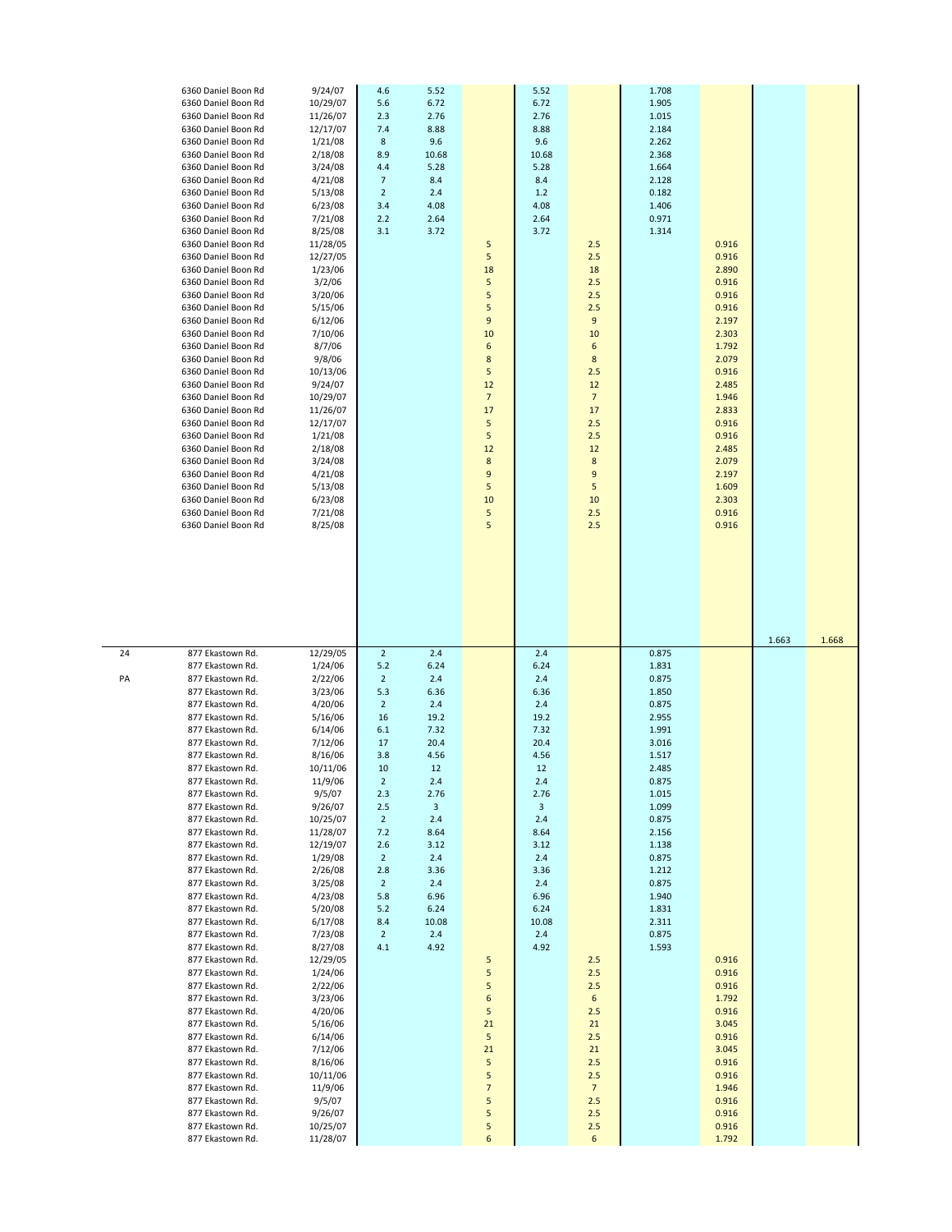| 6360 Daniel Boon Rd<br>6360 Daniel Boon Rd<br>6360 Daniel Boon Rd<br>6360 Daniel Boon Rd<br>6360 Daniel Boon Rd<br>6360 Daniel Boon Rd<br>6360 Daniel Boon Rd<br>6360 Daniel Boon Rd<br>6360 Daniel Boon Rd<br>6360 Daniel Boon Rd<br>6360 Daniel Boon Rd<br>6360 Daniel Boon Rd<br>6360 Daniel Boon Rd<br>6360 Daniel Boon Rd<br>6360 Daniel Boon Rd<br>6360 Daniel Boon Rd<br>6360 Daniel Boon Rd<br>6360 Daniel Boon Rd<br>6360 Daniel Boon Rd<br>6360 Daniel Boon Rd<br>6360 Daniel Boon Rd<br>6360 Daniel Boon Rd<br>6360 Daniel Boon Rd<br>6360 Daniel Boon Rd<br>6360 Daniel Boon Rd<br>6360 Daniel Boon Rd<br>6360 Daniel Boon Rd<br>6360 Daniel Boon Rd<br>6360 Daniel Boon Rd<br>6360 Daniel Boon Rd<br>6360 Daniel Boon Rd<br>6360 Daniel Boon Rd<br>6360 Daniel Boon Rd<br>6360 Daniel Boon Rd<br>6360 Daniel Boon Rd | 9/24/07<br>10/29/07<br>11/26/07<br>12/17/07<br>1/21/08<br>2/18/08<br>3/24/08<br>4/21/08<br>5/13/08<br>6/23/08<br>7/21/08<br>8/25/08<br>11/28/05<br>12/27/05<br>1/23/06<br>3/2/06<br>3/20/06<br>5/15/06<br>6/12/06<br>7/10/06<br>8/7/06<br>9/8/06<br>10/13/06<br>9/24/07<br>10/29/07<br>11/26/07<br>12/17/07<br>1/21/08<br>2/18/08<br>3/24/08<br>4/21/08<br>5/13/08<br>6/23/08<br>7/21/08<br>8/25/08                                              | 4.6<br>5.6<br>2.3<br>7.4<br>8<br>8.9<br>4.4<br>$\overline{7}$<br>$\overline{2}$<br>3.4<br>2.2<br>3.1                                                                                                                                                        | 5.52<br>6.72<br>2.76<br>8.88<br>9.6<br>10.68<br>5.28<br>8.4<br>2.4<br>4.08<br>2.64<br>3.72                                                                                       | 5<br>5<br>18<br>5<br>5<br>5<br>9<br>10<br>6<br>8<br>5<br>12<br>$\overline{7}$<br>17<br>5<br>5<br>12<br>$\bf 8$<br>9<br>5<br>10<br>5<br>5 | 5.52<br>6.72<br>2.76<br>8.88<br>9.6<br>10.68<br>5.28<br>8.4<br>$1.2$<br>4.08<br>2.64<br>3.72                                                                                     | 2.5<br>2.5<br>18<br>2.5<br>2.5<br>2.5<br>$9\,$<br>10<br>6<br>$\bf 8$<br>2.5<br>12<br>$\overline{7}$<br>17<br>2.5<br>2.5<br>12<br>$\bf 8$<br>9<br>5<br>10<br>2.5<br>2.5 | 1.708<br>1.905<br>1.015<br>2.184<br>2.262<br>2.368<br>1.664<br>2.128<br>0.182<br>1.406<br>0.971<br>1.314                                                                                                             | 0.916<br>0.916<br>2.890<br>0.916<br>0.916<br>0.916<br>2.197<br>2.303<br>1.792<br>2.079<br>0.916<br>2.485<br>1.946<br>2.833<br>0.916<br>0.916<br>2.485<br>2.079<br>2.197<br>1.609<br>2.303<br>0.916<br>0.916 |       |       |
|-----------------------------------------------------------------------------------------------------------------------------------------------------------------------------------------------------------------------------------------------------------------------------------------------------------------------------------------------------------------------------------------------------------------------------------------------------------------------------------------------------------------------------------------------------------------------------------------------------------------------------------------------------------------------------------------------------------------------------------------------------------------------------------------------------------------------------------|--------------------------------------------------------------------------------------------------------------------------------------------------------------------------------------------------------------------------------------------------------------------------------------------------------------------------------------------------------------------------------------------------------------------------------------------------|-------------------------------------------------------------------------------------------------------------------------------------------------------------------------------------------------------------------------------------------------------------|----------------------------------------------------------------------------------------------------------------------------------------------------------------------------------|------------------------------------------------------------------------------------------------------------------------------------------|----------------------------------------------------------------------------------------------------------------------------------------------------------------------------------|------------------------------------------------------------------------------------------------------------------------------------------------------------------------|----------------------------------------------------------------------------------------------------------------------------------------------------------------------------------------------------------------------|-------------------------------------------------------------------------------------------------------------------------------------------------------------------------------------------------------------|-------|-------|
| 24<br>877 Ekastown Rd.<br>877 Ekastown Rd.<br>877 Ekastown Rd.<br>PA<br>877 Ekastown Rd.<br>877 Ekastown Rd.<br>877 Ekastown Rd.<br>877 Ekastown Rd.<br>877 Ekastown Rd.<br>877 Ekastown Rd.<br>877 Ekastown Rd.<br>877 Ekastown Rd.<br>877 Ekastown Rd.<br>877 Ekastown Rd.<br>877 Ekastown Rd.<br>877 Ekastown Rd.<br>877 Ekastown Rd.<br>877 Ekastown Rd.<br>877 Ekastown Rd.<br>877 Ekastown Rd.<br>877 Ekastown Rd.<br>877 Ekastown Rd.<br>877 Ekastown Rd.<br>877 Ekastown Rd.<br>877 Ekastown Rd.<br>877 Ekastown Rd.<br>877 Ekastown Rd.<br>877 Ekastown Rd.<br>877 Ekastown Rd.<br>877 Ekastown Rd.<br>877 Ekastown Rd.<br>877 Ekastown Rd.<br>877 Ekastown Rd.<br>877 Ekastown Rd.<br>877 Ekastown Rd.<br>877 Ekastown Rd.<br>877 Ekastown Rd.<br>877 Ekastown Rd.<br>877 Ekastown Rd.<br>877 Ekastown Rd.              | 12/29/05<br>1/24/06<br>2/22/06<br>3/23/06<br>4/20/06<br>5/16/06<br>6/14/06<br>7/12/06<br>8/16/06<br>10/11/06<br>11/9/06<br>9/5/07<br>9/26/07<br>10/25/07<br>11/28/07<br>12/19/07<br>1/29/08<br>2/26/08<br>3/25/08<br>4/23/08<br>5/20/08<br>6/17/08<br>7/23/08<br>8/27/08<br>12/29/05<br>1/24/06<br>2/22/06<br>3/23/06<br>4/20/06<br>5/16/06<br>6/14/06<br>7/12/06<br>8/16/06<br>10/11/06<br>11/9/06<br>9/5/07<br>9/26/07<br>10/25/07<br>11/28/07 | $\overline{2}$<br>5.2<br>$\overline{2}$<br>5.3<br>$\overline{2}$<br>16<br>6.1<br>17<br>3.8<br>10<br>$\overline{2}$<br>2.3<br>2.5<br>$\overline{2}$<br>7.2<br>2.6<br>$\overline{2}$<br>2.8<br>$\overline{2}$<br>5.8<br>$5.2$<br>8.4<br>$\overline{2}$<br>4.1 | 2.4<br>6.24<br>2.4<br>6.36<br>2.4<br>19.2<br>7.32<br>20.4<br>4.56<br>12<br>2.4<br>2.76<br>3<br>2.4<br>8.64<br>3.12<br>2.4<br>3.36<br>2.4<br>6.96<br>6.24<br>10.08<br>2.4<br>4.92 | 5<br>5<br>5<br>6<br>5<br>21<br>5<br>21<br>5<br>5<br>$\overline{7}$<br>5<br>5<br>5<br>6                                                   | 2.4<br>6.24<br>2.4<br>6.36<br>2.4<br>19.2<br>7.32<br>20.4<br>4.56<br>12<br>2.4<br>2.76<br>3<br>2.4<br>8.64<br>3.12<br>2.4<br>3.36<br>2.4<br>6.96<br>6.24<br>10.08<br>2.4<br>4.92 | 2.5<br>2.5<br>2.5<br>$\sqrt{6}$<br>2.5<br>21<br>2.5<br>21<br>2.5<br>2.5<br>$\overline{7}$<br>2.5<br>2.5<br>2.5<br>6                                                    | 0.875<br>1.831<br>0.875<br>1.850<br>0.875<br>2.955<br>1.991<br>3.016<br>1.517<br>2.485<br>0.875<br>1.015<br>1.099<br>0.875<br>2.156<br>1.138<br>0.875<br>1.212<br>0.875<br>1.940<br>1.831<br>2.311<br>0.875<br>1.593 | 0.916<br>0.916<br>0.916<br>1.792<br>0.916<br>3.045<br>0.916<br>3.045<br>0.916<br>0.916<br>1.946<br>0.916<br>0.916<br>0.916<br>1.792                                                                         | 1.663 | 1.668 |

24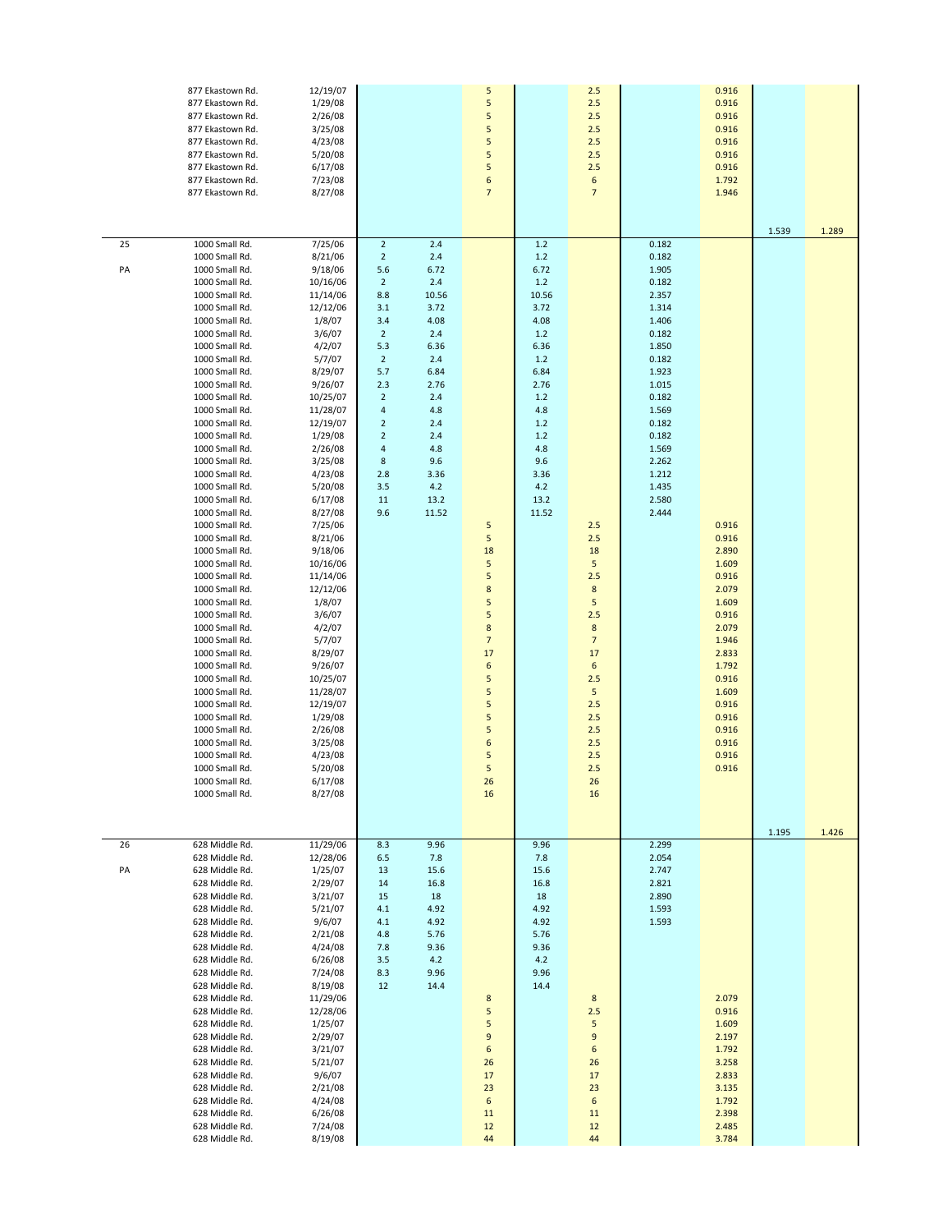|          | 877 Ekastown Rd.<br>877 Ekastown Rd.<br>877 Ekastown Rd.<br>877 Ekastown Rd.<br>877 Ekastown Rd.<br>877 Ekastown Rd.<br>877 Ekastown Rd.<br>877 Ekastown Rd.<br>877 Ekastown Rd.                                                                                                                                                                                                                                                                                                                                                                                                                                                                                                                                                                                                                                    | 12/19/07<br>1/29/08<br>2/26/08<br>3/25/08<br>4/23/08<br>5/20/08<br>6/17/08<br>7/23/08<br>8/27/08                                                                                                                                                                                                                                                                                                                                                                                                     |                                                                                                                                                                                                                                         |                                                                                                                                                                    | 5<br>5<br>5<br>5<br>5<br>5<br>5<br>6<br>$\overline{7}$                                                                      |                                                                                                                                                                              | 2.5<br>2.5<br>2.5<br>2.5<br>2.5<br>2.5<br>2.5<br>6<br>$\overline{7}$                                                                                                               |                                                                                                                                                                                                    | 0.916<br>0.916<br>0.916<br>0.916<br>0.916<br>0.916<br>0.916<br>1.792<br>1.946                                                                                                    | 1.539 | 1.289 |
|----------|---------------------------------------------------------------------------------------------------------------------------------------------------------------------------------------------------------------------------------------------------------------------------------------------------------------------------------------------------------------------------------------------------------------------------------------------------------------------------------------------------------------------------------------------------------------------------------------------------------------------------------------------------------------------------------------------------------------------------------------------------------------------------------------------------------------------|------------------------------------------------------------------------------------------------------------------------------------------------------------------------------------------------------------------------------------------------------------------------------------------------------------------------------------------------------------------------------------------------------------------------------------------------------------------------------------------------------|-----------------------------------------------------------------------------------------------------------------------------------------------------------------------------------------------------------------------------------------|--------------------------------------------------------------------------------------------------------------------------------------------------------------------|-----------------------------------------------------------------------------------------------------------------------------|------------------------------------------------------------------------------------------------------------------------------------------------------------------------------|------------------------------------------------------------------------------------------------------------------------------------------------------------------------------------|----------------------------------------------------------------------------------------------------------------------------------------------------------------------------------------------------|----------------------------------------------------------------------------------------------------------------------------------------------------------------------------------|-------|-------|
| 25<br>PA | 1000 Small Rd.<br>1000 Small Rd.<br>1000 Small Rd.<br>1000 Small Rd.<br>1000 Small Rd.<br>1000 Small Rd.<br>1000 Small Rd.<br>1000 Small Rd.<br>1000 Small Rd.<br>1000 Small Rd.<br>1000 Small Rd.<br>1000 Small Rd.<br>1000 Small Rd.<br>1000 Small Rd.<br>1000 Small Rd.<br>1000 Small Rd.<br>1000 Small Rd.<br>1000 Small Rd.<br>1000 Small Rd.<br>1000 Small Rd.<br>1000 Small Rd.<br>1000 Small Rd.<br>1000 Small Rd.<br>1000 Small Rd.<br>1000 Small Rd.<br>1000 Small Rd.<br>1000 Small Rd.<br>1000 Small Rd.<br>1000 Small Rd.<br>1000 Small Rd.<br>1000 Small Rd.<br>1000 Small Rd.<br>1000 Small Rd.<br>1000 Small Rd.<br>1000 Small Rd.<br>1000 Small Rd.<br>1000 Small Rd.<br>1000 Small Rd.<br>1000 Small Rd.<br>1000 Small Rd.<br>1000 Small Rd.<br>1000 Small Rd.<br>1000 Small Rd<br>1000 Small Rd. | 7/25/06<br>8/21/06<br>9/18/06<br>10/16/06<br>11/14/06<br>12/12/06<br>1/8/07<br>3/6/07<br>4/2/07<br>5/7/07<br>8/29/07<br>9/26/07<br>10/25/07<br>11/28/07<br>12/19/07<br>1/29/08<br>2/26/08<br>3/25/08<br>4/23/08<br>5/20/08<br>6/17/08<br>8/27/08<br>7/25/06<br>8/21/06<br>9/18/06<br>10/16/06<br>11/14/06<br>12/12/06<br>1/8/07<br>3/6/07<br>4/2/07<br>5/7/07<br>8/29/07<br>9/26/07<br>10/25/07<br>11/28/07<br>12/19/07<br>1/29/08<br>2/26/08<br>3/25/08<br>4/23/08<br>5/20/08<br>6/17/08<br>8/27/08 | $\overline{2}$<br>$\overline{2}$<br>5.6<br>$\overline{2}$<br>8.8<br>3.1<br>3.4<br>$\overline{2}$<br>5.3<br>$\overline{2}$<br>5.7<br>2.3<br>$\overline{2}$<br>4<br>$\overline{2}$<br>$\overline{2}$<br>4<br>8<br>2.8<br>3.5<br>11<br>9.6 | 2.4<br>2.4<br>6.72<br>2.4<br>10.56<br>3.72<br>4.08<br>2.4<br>6.36<br>2.4<br>6.84<br>2.76<br>2.4<br>4.8<br>2.4<br>2.4<br>4.8<br>9.6<br>3.36<br>4.2<br>13.2<br>11.52 | 5<br>5<br>18<br>5<br>5<br>8<br>5<br>5<br>8<br>$\overline{7}$<br>17<br>6<br>5<br>5<br>5<br>5<br>5<br>6<br>5<br>5<br>26<br>16 | $1.2$<br>1.2<br>6.72<br>$1.2$<br>10.56<br>3.72<br>4.08<br>$1.2$<br>6.36<br>$1.2$<br>6.84<br>2.76<br>$1.2$<br>4.8<br>1.2<br>1.2<br>4.8<br>9.6<br>3.36<br>4.2<br>13.2<br>11.52 | 2.5<br>2.5<br>18<br>5<br>2.5<br>$\bf 8$<br>5<br>2.5<br>$\bf 8$<br>$\overline{7}$<br>17<br>$\sqrt{6}$<br>2.5<br>${\mathsf 5}$<br>2.5<br>2.5<br>2.5<br>2.5<br>2.5<br>2.5<br>26<br>16 | 0.182<br>0.182<br>1.905<br>0.182<br>2.357<br>1.314<br>1.406<br>0.182<br>1.850<br>0.182<br>1.923<br>1.015<br>0.182<br>1.569<br>0.182<br>0.182<br>1.569<br>2.262<br>1.212<br>1.435<br>2.580<br>2.444 | 0.916<br>0.916<br>2.890<br>1.609<br>0.916<br>2.079<br>1.609<br>0.916<br>2.079<br>1.946<br>2.833<br>1.792<br>0.916<br>1.609<br>0.916<br>0.916<br>0.916<br>0.916<br>0.916<br>0.916 |       |       |
| 26<br>PA | 628 Middle Rd.<br>628 Middle Rd.<br>628 Middle Rd.<br>628 Middle Rd.<br>628 Middle Rd.<br>628 Middle Rd.<br>628 Middle Rd.<br>628 Middle Rd.<br>628 Middle Rd.<br>628 Middle Rd.<br>628 Middle Rd.<br>628 Middle Rd.<br>628 Middle Rd.<br>628 Middle Rd.<br>628 Middle Rd.<br>628 Middle Rd.<br>628 Middle Rd.<br>628 Middle Rd.<br>628 Middle Rd.<br>628 Middle Rd.<br>628 Middle Rd.<br>628 Middle Rd.<br>628 Middle Rd.<br>628 Middle Rd.                                                                                                                                                                                                                                                                                                                                                                        | 11/29/06<br>12/28/06<br>1/25/07<br>2/29/07<br>3/21/07<br>5/21/07<br>9/6/07<br>2/21/08<br>4/24/08<br>6/26/08<br>7/24/08<br>8/19/08<br>11/29/06<br>12/28/06<br>1/25/07<br>2/29/07<br>3/21/07<br>5/21/07<br>9/6/07<br>2/21/08<br>4/24/08<br>6/26/08<br>7/24/08<br>8/19/08                                                                                                                                                                                                                               | 8.3<br>6.5<br>13<br>14<br>15<br>4.1<br>4.1<br>4.8<br>7.8<br>3.5<br>8.3<br>12                                                                                                                                                            | 9.96<br>7.8<br>15.6<br>16.8<br>18<br>4.92<br>4.92<br>5.76<br>9.36<br>4.2<br>9.96<br>14.4                                                                           | 8<br>5<br>5<br>9<br>6<br>26<br>17<br>23<br>6<br>$11\,$<br>12<br>44                                                          | 9.96<br>7.8<br>15.6<br>16.8<br>18<br>4.92<br>4.92<br>5.76<br>9.36<br>4.2<br>9.96<br>14.4                                                                                     | 8<br>2.5<br>5<br>$\boldsymbol{9}$<br>6<br>26<br>17<br>23<br>6<br>11<br>12<br>44                                                                                                    | 2.299<br>2.054<br>2.747<br>2.821<br>2.890<br>1.593<br>1.593                                                                                                                                        | 2.079<br>0.916<br>1.609<br>2.197<br>1.792<br>3.258<br>2.833<br>3.135<br>1.792<br>2.398<br>2.485<br>3.784                                                                         | 1.195 | 1.426 |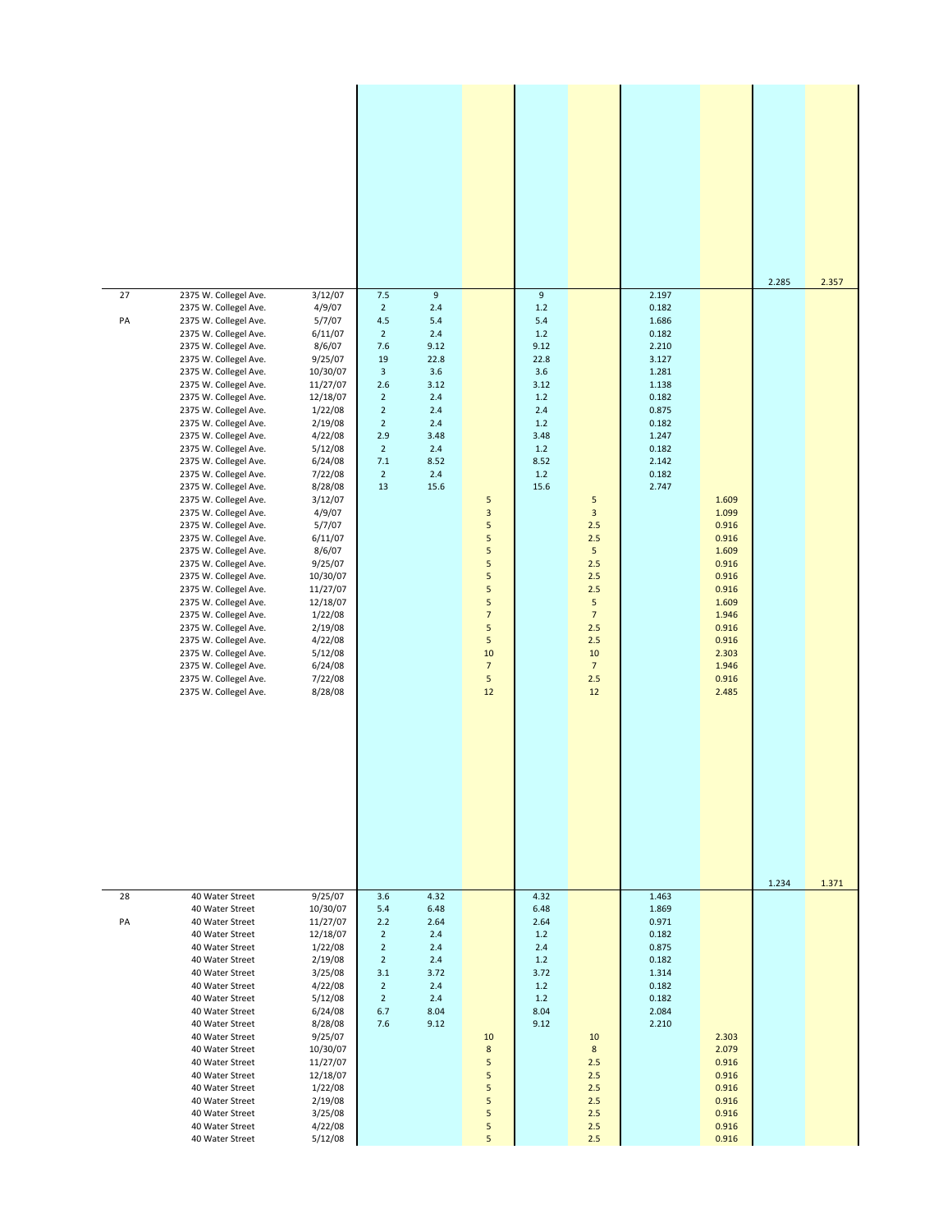|          |                                                                                                                                                                                                                                                                                                                                                                                                                                                                                                                                                                                                                                                                                                                                                                                                                              |                                                                                                                                                                                                                                                                                                                                                              |                                                                                                                                                                                                       |                                                                                                                                 |                                                                                                          |                                                                                                                  |                                                                                                                                                |                                                                                                                                              |                                                                                                                                              | 2.285 | 2.357 |
|----------|------------------------------------------------------------------------------------------------------------------------------------------------------------------------------------------------------------------------------------------------------------------------------------------------------------------------------------------------------------------------------------------------------------------------------------------------------------------------------------------------------------------------------------------------------------------------------------------------------------------------------------------------------------------------------------------------------------------------------------------------------------------------------------------------------------------------------|--------------------------------------------------------------------------------------------------------------------------------------------------------------------------------------------------------------------------------------------------------------------------------------------------------------------------------------------------------------|-------------------------------------------------------------------------------------------------------------------------------------------------------------------------------------------------------|---------------------------------------------------------------------------------------------------------------------------------|----------------------------------------------------------------------------------------------------------|------------------------------------------------------------------------------------------------------------------|------------------------------------------------------------------------------------------------------------------------------------------------|----------------------------------------------------------------------------------------------------------------------------------------------|----------------------------------------------------------------------------------------------------------------------------------------------|-------|-------|
| 27<br>PA | 2375 W. Collegel Ave.<br>2375 W. Collegel Ave.<br>2375 W. Collegel Ave.<br>2375 W. Collegel Ave.<br>2375 W. Collegel Ave.<br>2375 W. Collegel Ave.<br>2375 W. Collegel Ave.<br>2375 W. Collegel Ave.<br>2375 W. Collegel Ave.<br>2375 W. Collegel Ave.<br>2375 W. Collegel Ave.<br>2375 W. Collegel Ave.<br>2375 W. Collegel Ave.<br>2375 W. Collegel Ave.<br>2375 W. Collegel Ave.<br>2375 W. Collegel Ave.<br>2375 W. Collegel Ave.<br>2375 W. Collegel Ave.<br>2375 W. Collegel Ave.<br>2375 W. Collegel Ave.<br>2375 W. Collegel Ave.<br>2375 W. Collegel Ave.<br>2375 W. Collegel Ave.<br>2375 W. Collegel Ave.<br>2375 W. Collegel Ave.<br>2375 W. Collegel Ave.<br>2375 W. Collegel Ave.<br>2375 W. Collegel Ave.<br>2375 W. Collegel Ave.<br>2375 W. Collegel Ave.<br>2375 W. Collegel Ave.<br>2375 W. Collegel Ave. | 3/12/07<br>4/9/07<br>5/7/07<br>6/11/07<br>8/6/07<br>9/25/07<br>10/30/07<br>11/27/07<br>12/18/07<br>1/22/08<br>2/19/08<br>4/22/08<br>5/12/08<br>6/24/08<br>7/22/08<br>8/28/08<br>3/12/07<br>4/9/07<br>5/7/07<br>6/11/07<br>8/6/07<br>9/25/07<br>10/30/07<br>11/27/07<br>12/18/07<br>1/22/08<br>2/19/08<br>4/22/08<br>5/12/08<br>6/24/08<br>7/22/08<br>8/28/08 | 7.5<br>$2^{\circ}$<br>$4.5\,$<br>$\overline{2}$<br>7.6<br>19<br>$\mathbf{3}$<br>2.6<br>$\overline{2}$<br>$\overline{2}$<br>$\overline{2}$<br>2.9<br>$\overline{2}$<br>$7.1\,$<br>$\overline{2}$<br>13 | $\boldsymbol{9}$<br>2.4<br>5.4<br>2.4<br>9.12<br>22.8<br>3.6<br>3.12<br>2.4<br>2.4<br>2.4<br>3.48<br>2.4<br>8.52<br>2.4<br>15.6 | 5<br>3<br>5<br>5<br>5<br>5<br>5<br>5<br>5<br>$\overline{7}$<br>5<br>5<br>10<br>$\overline{7}$<br>5<br>12 | 9<br>1.2<br>5.4<br>1.2<br>9.12<br>22.8<br>3.6<br>3.12<br>1.2<br>2.4<br>1.2<br>3.48<br>1.2<br>8.52<br>1.2<br>15.6 | 5<br>$\overline{\mathbf{3}}$<br>2.5<br>2.5<br>5<br>2.5<br>2.5<br>2.5<br>5<br>$\overline{7}$<br>2.5<br>2.5<br>10<br>$\overline{7}$<br>2.5<br>12 | 2.197<br>0.182<br>1.686<br>0.182<br>2.210<br>3.127<br>1.281<br>1.138<br>0.182<br>0.875<br>0.182<br>1.247<br>0.182<br>2.142<br>0.182<br>2.747 | 1.609<br>1.099<br>0.916<br>0.916<br>1.609<br>0.916<br>0.916<br>0.916<br>1.609<br>1.946<br>0.916<br>0.916<br>2.303<br>1.946<br>0.916<br>2.485 | 1.234 | 1.371 |
| 28<br>PA | 40 Water Street<br>40 Water Street<br>40 Water Street<br>40 Water Street<br>40 Water Street<br>40 Water Street<br>40 Water Street<br>40 Water Street<br>40 Water Street<br>40 Water Street<br>40 Water Street<br>40 Water Street<br>40 Water Street<br>40 Water Street<br>40 Water Street<br>40 Water Street<br>40 Water Street<br>40 Water Street<br>40 Water Street<br>40 Water Street                                                                                                                                                                                                                                                                                                                                                                                                                                     | 9/25/07<br>10/30/07<br>11/27/07<br>12/18/07<br>1/22/08<br>2/19/08<br>3/25/08<br>4/22/08<br>5/12/08<br>6/24/08<br>8/28/08<br>9/25/07<br>10/30/07<br>11/27/07<br>12/18/07<br>1/22/08<br>2/19/08<br>3/25/08<br>4/22/08<br>5/12/08                                                                                                                               | 3.6<br>5.4<br>2.2<br>$\overline{2}$<br>$\overline{2}$<br>$\overline{2}$<br>3.1<br>$\overline{2}$<br>$\overline{2}$<br>6.7<br>7.6                                                                      | 4.32<br>6.48<br>2.64<br>2.4<br>2.4<br>2.4<br>3.72<br>2.4<br>2.4<br>8.04<br>9.12                                                 | 10<br>8<br>5<br>5<br>5<br>5<br>5<br>5<br>5                                                               | 4.32<br>6.48<br>2.64<br>1.2<br>2.4<br>1.2<br>3.72<br>1.2<br>1.2<br>8.04<br>9.12                                  | 10<br>8<br>2.5<br>2.5<br>2.5<br>2.5<br>2.5<br>2.5<br>2.5                                                                                       | 1.463<br>1.869<br>0.971<br>0.182<br>0.875<br>0.182<br>1.314<br>0.182<br>0.182<br>2.084<br>2.210                                              | 2.303<br>2.079<br>0.916<br>0.916<br>0.916<br>0.916<br>0.916<br>0.916<br>0.916                                                                |       |       |